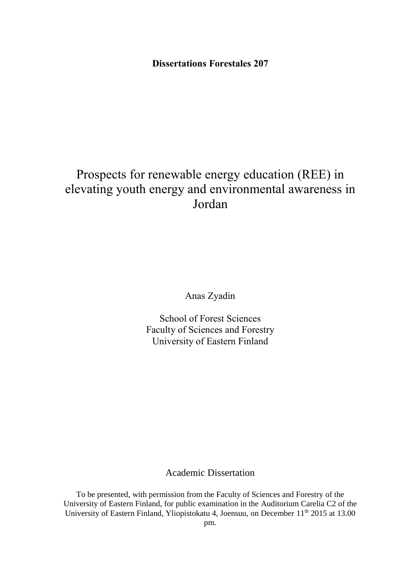## **Dissertations Forestales 207**

# Prospects for renewable energy education (REE) in elevating youth energy and environmental awareness in Jordan

Anas Zyadin

School of Forest Sciences Faculty of Sciences and Forestry University of Eastern Finland

## Academic Dissertation

To be presented, with permission from the Faculty of Sciences and Forestry of the University of Eastern Finland, for public examination in the Auditorium Carelia C2 of the University of Eastern Finland, Yliopistokatu 4, Joensuu, on December 11<sup>th</sup> 2015 at 13.00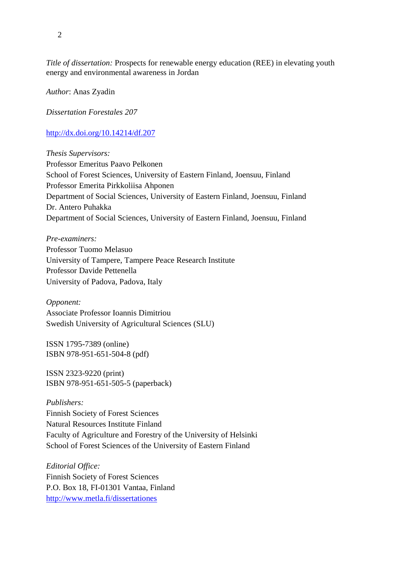*Title of dissertation:* Prospects for renewable energy education (REE) in elevating youth energy and environmental awareness in Jordan

*Author*: Anas Zyadin

*Dissertation Forestales 207*

<http://dx.doi.org/10.14214/df.207>

*Thesis Supervisors:*  Professor Emeritus Paavo Pelkonen School of Forest Sciences, University of Eastern Finland, Joensuu, Finland Professor Emerita Pirkkoliisa Ahponen Department of Social Sciences, University of Eastern Finland, Joensuu, Finland Dr. Antero Puhakka Department of Social Sciences, University of Eastern Finland, Joensuu, Finland

*Pre-examiners:*  Professor Tuomo Melasuo University of Tampere, Tampere Peace Research Institute Professor Davide Pettenella University of Padova, Padova, Italy

*Opponent:*  Associate Professor Ioannis Dimitriou Swedish University of Agricultural Sciences (SLU)

ISSN 1795-7389 (online) ISBN 978-951-651-504-8 (pdf)

ISSN 2323-9220 (print) ISBN 978-951-651-505-5 (paperback)

*Publishers:* Finnish Society of Forest Sciences Natural Resources Institute Finland Faculty of Agriculture and Forestry of the University of Helsinki School of Forest Sciences of the University of Eastern Finland

*Editorial Office:* Finnish Society of Forest Sciences P.O. Box 18, FI-01301 Vantaa, Finland <http://www.metla.fi/dissertationes>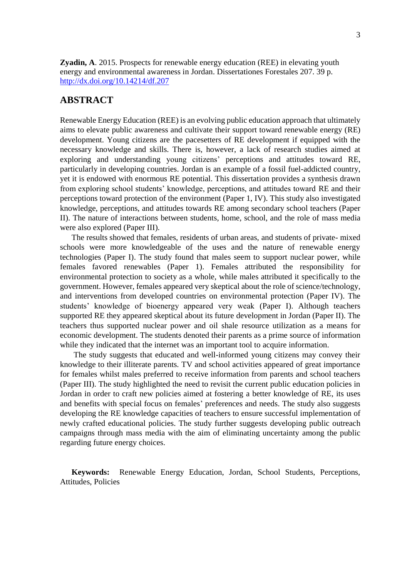**Zyadin, A**. 2015. Prospects for renewable energy education (REE) in elevating youth energy and environmental awareness in Jordan. Dissertationes Forestales 207. 39 p. <http://dx.doi.org/10.14214/df.207>

## <span id="page-2-0"></span>**ABSTRACT**

Renewable Energy Education (REE) is an evolving public education approach that ultimately aims to elevate public awareness and cultivate their support toward renewable energy (RE) development. Young citizens are the pacesetters of RE development if equipped with the necessary knowledge and skills. There is, however, a lack of research studies aimed at exploring and understanding young citizens' perceptions and attitudes toward RE, particularly in developing countries. Jordan is an example of a fossil fuel-addicted country, yet it is endowed with enormous RE potential. This dissertation provides a synthesis drawn from exploring school students' knowledge, perceptions, and attitudes toward RE and their perceptions toward protection of the environment (Paper 1, IV). This study also investigated knowledge, perceptions, and attitudes towards RE among secondary school teachers (Paper II). The nature of interactions between students, home, school, and the role of mass media were also explored (Paper III).

The results showed that females, residents of urban areas, and students of private- mixed schools were more knowledgeable of the uses and the nature of renewable energy technologies (Paper I). The study found that males seem to support nuclear power, while females favored renewables (Paper 1). Females attributed the responsibility for environmental protection to society as a whole, while males attributed it specifically to the government. However, females appeared very skeptical about the role of science/technology, and interventions from developed countries on environmental protection (Paper IV). The students' knowledge of bioenergy appeared very weak (Paper I). Although teachers supported RE they appeared skeptical about its future development in Jordan (Paper II). The teachers thus supported nuclear power and oil shale resource utilization as a means for economic development. The students denoted their parents as a prime source of information while they indicated that the internet was an important tool to acquire information.

The study suggests that educated and well-informed young citizens may convey their knowledge to their illiterate parents. TV and school activities appeared of great importance for females whilst males preferred to receive information from parents and school teachers (Paper III). The study highlighted the need to revisit the current public education policies in Jordan in order to craft new policies aimed at fostering a better knowledge of RE, its uses and benefits with special focus on females' preferences and needs. The study also suggests developing the RE knowledge capacities of teachers to ensure successful implementation of newly crafted educational policies. The study further suggests developing public outreach campaigns through mass media with the aim of eliminating uncertainty among the public regarding future energy choices.

**Keywords:** Renewable Energy Education, Jordan, School Students, Perceptions, Attitudes, Policies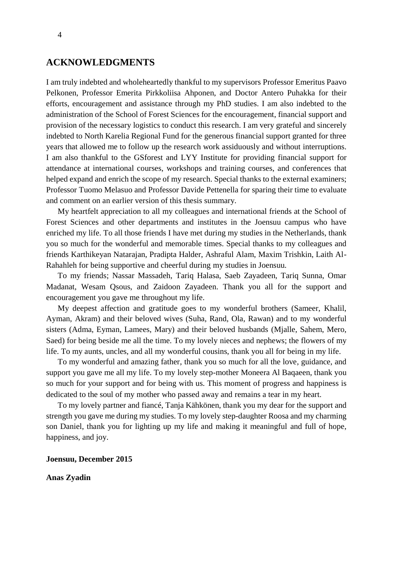#### <span id="page-3-0"></span>**ACKNOWLEDGMENTS**

I am truly indebted and wholeheartedly thankful to my supervisors Professor Emeritus Paavo Pelkonen, Professor Emerita Pirkkoliisa Ahponen, and Doctor Antero Puhakka for their efforts, encouragement and assistance through my PhD studies. I am also indebted to the administration of the School of Forest Sciences for the encouragement, financial support and provision of the necessary logistics to conduct this research. I am very grateful and sincerely indebted to North Karelia Regional Fund for the generous financial support granted for three years that allowed me to follow up the research work assiduously and without interruptions. I am also thankful to the GSforest and LYY Institute for providing financial support for attendance at international courses, workshops and training courses, and conferences that helped expand and enrich the scope of my research. Special thanks to the external examiners; Professor Tuomo Melasuo and Professor Davide Pettenella for sparing their time to evaluate and comment on an earlier version of this thesis summary.

My heartfelt appreciation to all my colleagues and international friends at the School of Forest Sciences and other departments and institutes in the Joensuu campus who have enriched my life. To all those friends I have met during my studies in the Netherlands, thank you so much for the wonderful and memorable times. Special thanks to my colleagues and friends Karthikeyan Natarajan, Pradipta Halder, Ashraful Alam, Maxim Trishkin, Laith Al-Rahahleh for being supportive and cheerful during my studies in Joensuu.

To my friends; Nassar Massadeh, Tariq Halasa, Saeb Zayadeen, Tariq Sunna, Omar Madanat, Wesam Qsous, and Zaidoon Zayadeen. Thank you all for the support and encouragement you gave me throughout my life.

My deepest affection and gratitude goes to my wonderful brothers (Sameer, Khalil, Ayman, Akram) and their beloved wives (Suha, Rand, Ola, Rawan) and to my wonderful sisters (Adma, Eyman, Lamees, Mary) and their beloved husbands (Mjalle, Sahem, Mero, Saed) for being beside me all the time. To my lovely nieces and nephews; the flowers of my life. To my aunts, uncles, and all my wonderful cousins, thank you all for being in my life.

To my wonderful and amazing father, thank you so much for all the love, guidance, and support you gave me all my life. To my lovely step-mother Moneera Al Baqaeen, thank you so much for your support and for being with us. This moment of progress and happiness is dedicated to the soul of my mother who passed away and remains a tear in my heart.

To my lovely partner and fiancé, Tanja Kähkönen, thank you my dear for the support and strength you gave me during my studies. To my lovely step-daughter Roosa and my charming son Daniel, thank you for lighting up my life and making it meaningful and full of hope, happiness, and joy.

#### **Joensuu, December 2015**

#### **Anas Zyadin**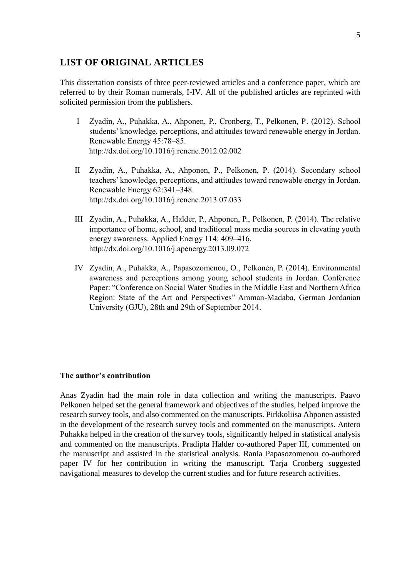## <span id="page-4-0"></span>**LIST OF ORIGINAL ARTICLES**

This dissertation consists of three peer-reviewed articles and a conference paper, which are referred to by their Roman numerals, I-IV. All of the published articles are reprinted with solicited permission from the publishers.

- I Zyadin, A., Puhakka, A., Ahponen, P., Cronberg, T., Pelkonen, P. (2012). School students' knowledge, perceptions, and attitudes toward renewable energy in Jordan. Renewable Energy 45:78–85. http://dx.doi.org/10.1016/j.renene.2012.02.002
- II Zyadin, A., Puhakka, A., Ahponen, P., Pelkonen, P. (2014). Secondary school teachers' knowledge, perceptions, and attitudes toward renewable energy in Jordan. Renewable Energy 62:341–348. <http://dx.doi.org/10.1016/j.renene.2013.07.033>
- III Zyadin, A., Puhakka, A., Halder, P., Ahponen, P., Pelkonen, P. (2014). The relative importance of home, school, and traditional mass media sources in elevating youth energy awareness. Applied Energy 114: 409–416. http://dx.doi.org/10.1016/j.apenergy.2013.09.072
- IV Zyadin, A., Puhakka, A., Papasozomenou, O., Pelkonen, P. (2014). Environmental awareness and perceptions among young school students in Jordan. Conference Paper: "Conference on Social Water Studies in the Middle East and Northern Africa Region: State of the Art and Perspectives" Amman-Madaba, German Jordanian University (GJU), 28th and 29th of September 2014.

#### **The author's contribution**

Anas Zyadin had the main role in data collection and writing the manuscripts. Paavo Pelkonen helped set the general framework and objectives of the studies, helped improve the research survey tools, and also commented on the manuscripts. Pirkkoliisa Ahponen assisted in the development of the research survey tools and commented on the manuscripts. Antero Puhakka helped in the creation of the survey tools, significantly helped in statistical analysis and commented on the manuscripts. Pradipta Halder co-authored Paper III, commented on the manuscript and assisted in the statistical analysis. Rania Papasozomenou co-authored paper IV for her contribution in writing the manuscript. Tarja Cronberg suggested navigational measures to develop the current studies and for future research activities.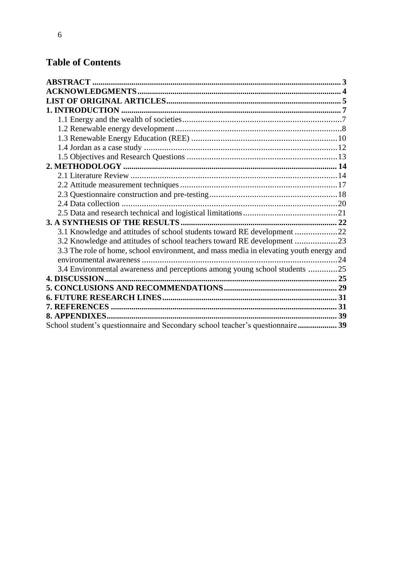## **Table of Contents**

| 3.1 Knowledge and attitudes of school students toward RE development 22                |  |
|----------------------------------------------------------------------------------------|--|
| 3.2 Knowledge and attitudes of school teachers toward RE development 23                |  |
| 3.3 The role of home, school environment, and mass media in elevating youth energy and |  |
|                                                                                        |  |
| 3.4 Environmental awareness and perceptions among young school students 25             |  |
|                                                                                        |  |
|                                                                                        |  |
|                                                                                        |  |
|                                                                                        |  |
|                                                                                        |  |
| School student's questionnaire and Secondary school teacher's questionnaire 39         |  |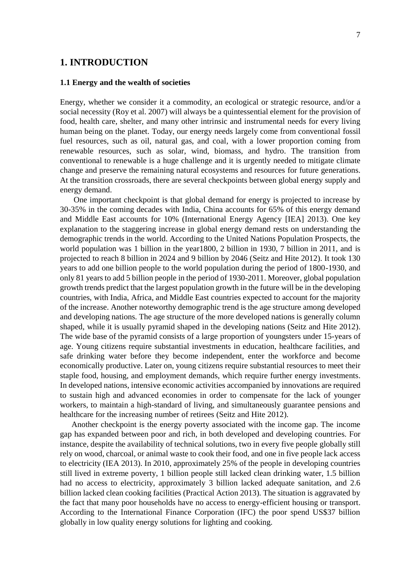#### <span id="page-6-0"></span>**1. INTRODUCTION**

#### <span id="page-6-1"></span>**1.1 Energy and the wealth of societies**

Energy, whether we consider it a commodity, an ecological or strategic resource, and/or a social necessity (Roy et al. 2007) will always be a quintessential element for the provision of food, health care, shelter, and many other intrinsic and instrumental needs for every living human being on the planet. Today, our energy needs largely come from conventional fossil fuel resources, such as oil, natural gas, and coal, with a lower proportion coming from renewable resources, such as solar, wind, biomass, and hydro. The transition from conventional to renewable is a huge challenge and it is urgently needed to mitigate climate change and preserve the remaining natural ecosystems and resources for future generations. At the transition crossroads, there are several checkpoints between global energy supply and energy demand.

One important checkpoint is that global demand for energy is projected to increase by 30-35% in the coming decades with India, China accounts for 65% of this energy demand and Middle East accounts for 10% (International Energy Agency [IEA] 2013). One key explanation to the staggering increase in global energy demand rests on understanding the demographic trends in the world. According to the United Nations Population Prospects, the world population was 1 billion in the year1800, 2 billion in 1930, 7 billion in 2011, and is projected to reach 8 billion in 2024 and 9 billion by 2046 (Seitz and Hite 2012). It took 130 years to add one billion people to the world population during the period of 1800-1930, and only 81 years to add 5 billion people in the period of 1930-2011. Moreover, global population growth trends predict that the largest population growth in the future will be in the developing countries, with India, Africa, and Middle East countries expected to account for the majority of the increase. Another noteworthy demographic trend is the age structure among developed and developing nations. The age structure of the more developed nations is generally column shaped, while it is usually pyramid shaped in the developing nations (Seitz and Hite 2012). The wide base of the pyramid consists of a large proportion of youngsters under 15-years of age. Young citizens require substantial investments in education, healthcare facilities, and safe drinking water before they become independent, enter the workforce and become economically productive. Later on, young citizens require substantial resources to meet their staple food, housing, and employment demands, which require further energy investments. In developed nations, intensive economic activities accompanied by innovations are required to sustain high and advanced economies in order to compensate for the lack of younger workers, to maintain a high-standard of living, and simultaneously guarantee pensions and healthcare for the increasing number of retirees (Seitz and Hite 2012).

Another checkpoint is the energy poverty associated with the income gap. The income gap has expanded between poor and rich, in both developed and developing countries. For instance, despite the availability of technical solutions, two in every five people globally still rely on wood, charcoal, or animal waste to cook their food, and one in five people lack access to electricity (IEA 2013). In 2010, approximately 25% of the people in developing countries still lived in extreme poverty, 1 billion people still lacked clean drinking water, 1.5 billion had no access to electricity, approximately 3 billion lacked adequate sanitation, and 2.6 billion lacked clean cooking facilities (Practical Action 2013). The situation is aggravated by the fact that many poor households have no access to energy-efficient housing or transport. According to the International Finance Corporation (IFC) the poor spend US\$37 billion globally in low quality energy solutions for lighting and cooking.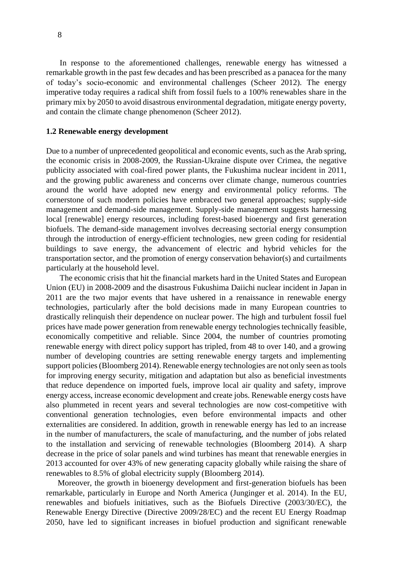In response to the aforementioned challenges, renewable energy has witnessed a remarkable growth in the past few decades and has been prescribed as a panacea for the many of today's socio-economic and environmental challenges (Scheer 2012). The energy imperative today requires a radical shift from fossil fuels to a 100% renewables share in the primary mix by 2050 to avoid disastrous environmental degradation, mitigate energy poverty, and contain the climate change phenomenon (Scheer 2012).

#### <span id="page-7-0"></span>**1.2 Renewable energy development**

Due to a number of unprecedented geopolitical and economic events, such as the Arab spring, the economic crisis in 2008-2009, the Russian-Ukraine dispute over Crimea, the negative publicity associated with coal-fired power plants, the Fukushima nuclear incident in 2011, and the growing public awareness and concerns over climate change, numerous countries around the world have adopted new energy and environmental policy reforms. The cornerstone of such modern policies have embraced two general approaches; supply-side management and demand-side management. Supply-side management suggests harnessing local [renewable] energy resources, including forest-based bioenergy and first generation biofuels. The demand-side management involves decreasing sectorial energy consumption through the introduction of energy-efficient technologies, new green coding for residential buildings to save energy, the advancement of electric and hybrid vehicles for the transportation sector, and the promotion of energy conservation behavior(s) and curtailments particularly at the household level.

The economic crisis that hit the financial markets hard in the United States and European Union (EU) in 2008-2009 and the disastrous Fukushima Daiichi nuclear incident in Japan in 2011 are the two major events that have ushered in a renaissance in renewable energy technologies, particularly after the bold decisions made in many European countries to drastically relinquish their dependence on nuclear power. The high and turbulent fossil fuel prices have made power generation from renewable energy technologies technically feasible, economically competitive and reliable. Since 2004, the number of countries promoting renewable energy with direct policy support has tripled, from 48 to over 140, and a growing number of developing countries are setting renewable energy targets and implementing support policies (Bloomberg 2014). Renewable energy technologies are not only seen as tools for improving energy security, mitigation and adaptation but also as beneficial investments that reduce dependence on imported fuels, improve local air quality and safety, improve energy access, increase economic development and create jobs. Renewable energy costs have also plummeted in recent years and several technologies are now cost-competitive with conventional generation technologies, even before environmental impacts and other externalities are considered. In addition, growth in renewable energy has led to an increase in the number of manufacturers, the scale of manufacturing, and the number of jobs related to the installation and servicing of renewable technologies (Bloomberg 2014). A sharp decrease in the price of solar panels and wind turbines has meant that renewable energies in 2013 accounted for over 43% of new generating capacity globally while raising the share of renewables to 8.5% of global electricity supply (Bloomberg 2014).

Moreover, the growth in bioenergy development and first-generation biofuels has been remarkable, particularly in Europe and North America (Junginger et al. 2014). In the EU, renewables and biofuels initiatives, such as the Biofuels Directive (2003/30/EC), the Renewable Energy Directive (Directive 2009/28/EC) and the recent EU Energy Roadmap 2050, have led to significant increases in biofuel production and significant renewable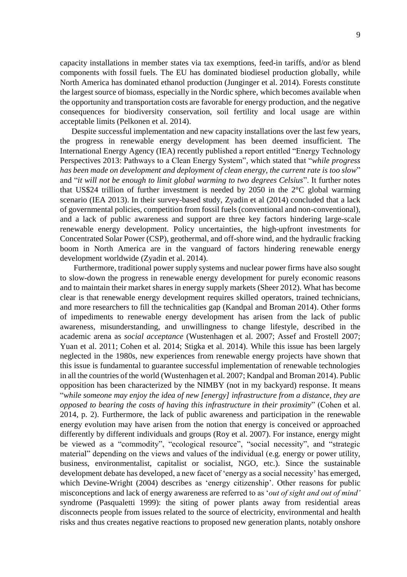capacity installations in member states via tax exemptions, feed-in tariffs, and/or as blend components with fossil fuels. The EU has dominated biodiesel production globally, while North America has dominated ethanol production (Junginger et al. 2014). Forests constitute the largest source of biomass, especially in the Nordic sphere, which becomes available when the opportunity and transportation costs are favorable for energy production, and the negative consequences for biodiversity conservation, soil fertility and local usage are within acceptable limits (Pelkonen et al. 2014).

Despite successful implementation and new capacity installations over the last few years, the progress in renewable energy development has been deemed insufficient. The International Energy Agency (IEA) recently published a report entitled "Energy Technology Perspectives 2013: Pathways to a Clean Energy System", which stated that "*while progress has been made on development and deployment of clean energy, the current rate is too slow*" and "*it will not be enough to limit global warming to two degrees Celsius*". It further notes that US\$24 trillion of further investment is needed by 2050 in the  $2^{\circ}C$  global warming scenario (IEA 2013). In their survey-based study, Zyadin et al (2014) concluded that a lack of governmental policies, competition from fossil fuels (conventional and non-conventional), and a lack of public awareness and support are three key factors hindering large-scale renewable energy development. Policy uncertainties, the high-upfront investments for Concentrated Solar Power (CSP), geothermal, and off-shore wind, and the hydraulic fracking boom in North America are in the vanguard of factors hindering renewable energy development worldwide (Zyadin et al. 2014).

Furthermore, traditional power supply systems and nuclear power firms have also sought to slow-down the progress in renewable energy development for purely economic reasons and to maintain their market shares in energy supply markets (Sheer 2012). What has become clear is that renewable energy development requires skilled operators, trained technicians, and more researchers to fill the technicalities gap (Kandpal and Broman 2014). Other forms of impediments to renewable energy development has arisen from the lack of public awareness, misunderstanding, and unwillingness to change lifestyle, described in the academic arena as *social acceptance* (Wustenhagen et al. 2007; Assef and Frostell 2007; Yuan et al. 2011; Cohen et al. 2014; Stigka et al. 2014). While this issue has been largely neglected in the 1980s, new experiences from renewable energy projects have shown that this issue is fundamental to guarantee successful implementation of renewable technologies in all the countries of the world (Wustenhagen et al. 2007; Kandpal and Broman 2014). Public opposition has been characterized by the NIMBY (not in my backyard) response. It means "*while someone may enjoy the idea of new [energy] infrastructure from a distance, they are opposed to bearing the costs of having this infrastructure in their proximity*" (Cohen et al. 2014, p. 2). Furthermore, the lack of public awareness and participation in the renewable energy evolution may have arisen from the notion that energy is conceived or approached differently by different individuals and groups (Roy et al. 2007). For instance, energy might be viewed as a "commodity", "ecological resource", "social necessity", and "strategic material" depending on the views and values of the individual (e.g. energy or power utility, business, environmentalist, capitalist or socialist, NGO, etc.). Since the sustainable development debate has developed, a new facet of 'energy as a social necessity' has emerged, which Devine-Wright (2004) describes as 'energy citizenship'. Other reasons for public misconceptions and lack of energy awareness are referred to as '*out of sight and out of mind'* syndrome (Pasqualetti 1999): the siting of power plants away from residential areas disconnects people from issues related to the source of electricity, environmental and health risks and thus creates negative reactions to proposed new generation plants, notably onshore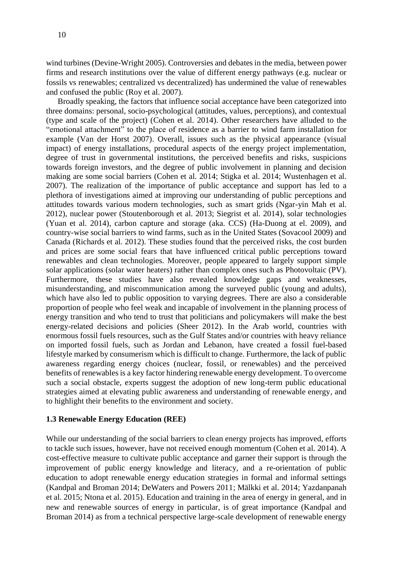wind turbines (Devine-Wright 2005). Controversies and debatesin the media, between power firms and research institutions over the value of different energy pathways (e.g. nuclear or fossils vs renewables; centralized vs decentralized) has undermined the value of renewables and confused the public (Roy et al. 2007).

Broadly speaking, the factors that influence social acceptance have been categorized into three domains: personal, socio-psychological (attitudes, values, perceptions), and contextual (type and scale of the project) (Cohen et al. 2014). Other researchers have alluded to the "emotional attachment" to the place of residence as a barrier to wind farm installation for example (Van der Horst 2007). Overall, issues such as the physical appearance (visual impact) of energy installations, procedural aspects of the energy project implementation, degree of trust in governmental institutions, the perceived benefits and risks, suspicions towards foreign investors, and the degree of public involvement in planning and decision making are some social barriers (Cohen et al. 2014; Stigka et al. 2014; Wustenhagen et al. 2007). The realization of the importance of public acceptance and support has led to a plethora of investigations aimed at improving our understanding of public perceptions and attitudes towards various modern technologies, such as smart grids (Ngar-yin Mah et al. 2012), nuclear power (Stoutenborough et al. 2013; Siegrist et al. 2014), solar technologies (Yuan et al. 2014), carbon capture and storage (aka. CCS) (Ha-Duong at el. 2009), and country-wise social barriers to wind farms, such as in the United States (Sovacool 2009) and Canada (Richards et al. 2012). These studies found that the perceived risks, the cost burden and prices are some social fears that have influenced critical public perceptions toward renewables and clean technologies. Moreover, people appeared to largely support simple solar applications (solar water heaters) rather than complex ones such as Photovoltaic (PV). Furthermore, these studies have also revealed knowledge gaps and weaknesses, misunderstanding, and miscommunication among the surveyed public (young and adults), which have also led to public opposition to varying degrees. There are also a considerable proportion of people who feel weak and incapable of involvement in the planning process of energy transition and who tend to trust that politicians and policymakers will make the best energy-related decisions and policies (Sheer 2012). In the Arab world, countries with enormous fossil fuels resources, such as the Gulf States and/or countries with heavy reliance on imported fossil fuels, such as Jordan and Lebanon, have created a fossil fuel-based lifestyle marked by consumerism which is difficult to change. Furthermore, the lack of public awareness regarding energy choices (nuclear, fossil, or renewables) and the perceived benefits of renewables is a key factor hindering renewable energy development. To overcome such a social obstacle, experts suggest the adoption of new long-term public educational strategies aimed at elevating public awareness and understanding of renewable energy, and to highlight their benefits to the environment and society.

#### <span id="page-9-0"></span>**1.3 Renewable Energy Education (REE)**

While our understanding of the social barriers to clean energy projects has improved, efforts to tackle such issues, however, have not received enough momentum (Cohen et al. 2014). A cost-effective measure to cultivate public acceptance and garner their support is through the improvement of public energy knowledge and literacy, and a re-orientation of public education to adopt renewable energy education strategies in formal and informal settings (Kandpal and Broman 2014; DeWaters and Powers 2011; Mälkki et al. 2014; Yazdanpanah et al. 2015; Ntona et al. 2015). Education and training in the area of energy in general, and in new and renewable sources of energy in particular, is of great importance (Kandpal and Broman 2014) as from a technical perspective large-scale development of renewable energy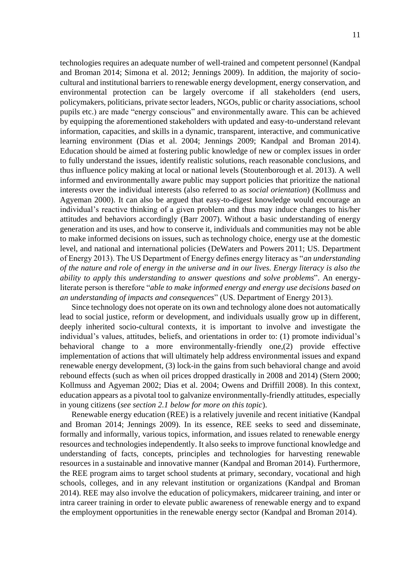technologies requires an adequate number of well-trained and competent personnel (Kandpal and Broman 2014; Simona et al. 2012; Jennings 2009). In addition, the majority of sociocultural and institutional barriers to renewable energy development, energy conservation, and environmental protection can be largely overcome if all stakeholders (end users, policymakers, politicians, private sector leaders, NGOs, public or charity associations, school pupils etc.) are made "energy conscious" and environmentally aware. This can be achieved by equipping the aforementioned stakeholders with updated and easy-to-understand relevant information, capacities, and skills in a dynamic, transparent, interactive, and communicative learning environment (Dias et al. 2004; Jennings 2009; Kandpal and Broman 2014). Education should be aimed at fostering public knowledge of new or complex issues in order to fully understand the issues, identify realistic solutions, reach reasonable conclusions, and thus influence policy making at local or national levels (Stoutenborough et al. 2013). A well informed and environmentally aware public may support policies that prioritize the national interests over the individual interests (also referred to as *social orientation*) (Kollmuss and Agyeman 2000). It can also be argued that easy-to-digest knowledge would encourage an individual's reactive thinking of a given problem and thus may induce changes to his/her attitudes and behaviors accordingly (Barr 2007). Without a basic understanding of energy generation and its uses, and how to conserve it, individuals and communities may not be able to make informed decisions on issues, such as technology choice, energy use at the domestic level, and national and international policies (DeWaters and Powers 2011; US. Department of Energy 2013). The US Department of Energy defines energy literacy as "*an understanding of the nature and role of energy in the universe and in our lives. Energy literacy is also the ability to apply this understanding to answer questions and solve problems*". An energyliterate person is therefore "*able to make informed energy and energy use decisions based on an understanding of impacts and consequences*" (US. Department of Energy 2013).

Since technology does not operate on its own and technology alone does not automatically lead to social justice, reform or development, and individuals usually grow up in different, deeply inherited socio-cultural contexts, it is important to involve and investigate the individual's values, attitudes, beliefs, and orientations in order to: (1) promote individual's behavioral change to a more environmentally-friendly one,(2) provide effective implementation of actions that will ultimately help address environmental issues and expand renewable energy development, (3) lock-in the gains from such behavioral change and avoid rebound effects (such as when oil prices dropped drastically in 2008 and 2014) (Stern 2000; Kollmuss and Agyeman 2002; Dias et al. 2004; Owens and Driffill 2008). In this context, education appears as a pivotal tool to galvanize environmentally-friendly attitudes, especially in young citizens (*see section 2.1 below for more on this topic*).

Renewable energy education (REE) is a relatively juvenile and recent initiative (Kandpal and Broman 2014; Jennings 2009). In its essence, REE seeks to seed and disseminate, formally and informally, various topics, information, and issues related to renewable energy resources and technologies independently. It also seeks to improve functional knowledge and understanding of facts, concepts, principles and technologies for harvesting renewable resources in a sustainable and innovative manner (Kandpal and Broman 2014). Furthermore, the REE program aims to target school students at primary, secondary, vocational and high schools, colleges, and in any relevant institution or organizations (Kandpal and Broman 2014). REE may also involve the education of policymakers, midcareer training, and inter or intra career training in order to elevate public awareness of renewable energy and to expand the employment opportunities in the renewable energy sector (Kandpal and Broman 2014).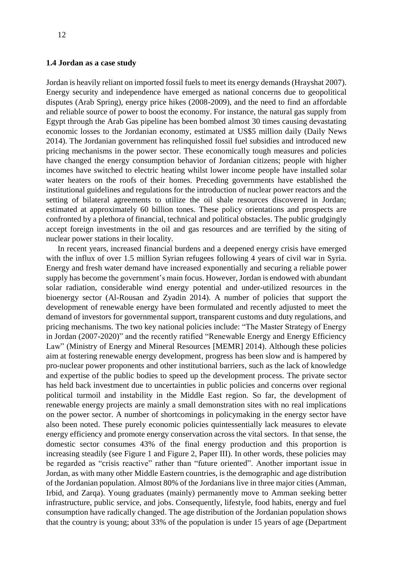#### <span id="page-11-0"></span>**1.4 Jordan as a case study**

Jordan is heavily reliant on imported fossil fuels to meet its energy demands (Hrayshat 2007). Energy security and independence have emerged as national concerns due to geopolitical disputes (Arab Spring), energy price hikes (2008-2009), and the need to find an affordable and reliable source of power to boost the economy. For instance, the natural gas supply from Egypt through the Arab Gas pipeline has been bombed almost 30 times causing devastating economic losses to the Jordanian economy, estimated at US\$5 million daily (Daily News 2014). The Jordanian government has relinquished fossil fuel subsidies and introduced new pricing mechanisms in the power sector. These economically tough measures and policies have changed the energy consumption behavior of Jordanian citizens; people with higher incomes have switched to electric heating whilst lower income people have installed solar water heaters on the roofs of their homes. Preceding governments have established the institutional guidelines and regulations for the introduction of nuclear power reactors and the setting of bilateral agreements to utilize the oil shale resources discovered in Jordan; estimated at approximately 60 billion tones. These policy orientations and prospects are confronted by a plethora of financial, technical and political obstacles. The public grudgingly accept foreign investments in the oil and gas resources and are terrified by the siting of nuclear power stations in their locality.

In recent years, increased financial burdens and a deepened energy crisis have emerged with the influx of over 1.5 million Syrian refugees following 4 years of civil war in Syria. Energy and fresh water demand have increased exponentially and securing a reliable power supply has become the government's main focus. However, Jordan is endowed with abundant solar radiation, considerable wind energy potential and under-utilized resources in the bioenergy sector (Al-Rousan and Zyadin 2014). A number of policies that support the development of renewable energy have been formulated and recently adjusted to meet the demand of investors for governmental support, transparent customs and duty regulations, and pricing mechanisms. The two key national policies include: "The Master Strategy of Energy in Jordan (2007-2020)" and the recently ratified "Renewable Energy and Energy Efficiency Law" (Ministry of Energy and Mineral Resources [MEMR] 2014). Although these policies aim at fostering renewable energy development, progress has been slow and is hampered by pro-nuclear power proponents and other institutional barriers, such as the lack of knowledge and expertise of the public bodies to speed up the development process. The private sector has held back investment due to uncertainties in public policies and concerns over regional political turmoil and instability in the Middle East region. So far, the development of renewable energy projects are mainly a small demonstration sites with no real implications on the power sector. A number of shortcomings in policymaking in the energy sector have also been noted. These purely economic policies quintessentially lack measures to elevate energy efficiency and promote energy conservation across the vital sectors. In that sense, the domestic sector consumes 43% of the final energy production and this proportion is increasing steadily (see Figure 1 and Figure 2, Paper III). In other words, these policies may be regarded as "crisis reactive" rather than "future oriented". Another important issue in Jordan, as with many other Middle Eastern countries, is the demographic and age distribution of the Jordanian population. Almost 80% of the Jordanians live in three major cities (Amman, Irbid, and Zarqa). Young graduates (mainly) permanently move to Amman seeking better infrastructure, public service, and jobs. Consequently, lifestyle, food habits, energy and fuel consumption have radically changed. The age distribution of the Jordanian population shows that the country is young; about 33% of the population is under 15 years of age (Department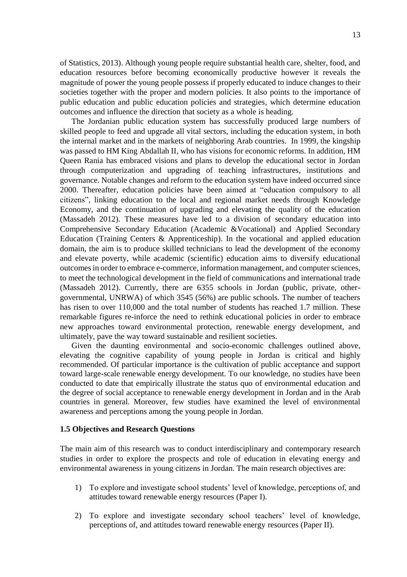of Statistics, 2013). Although young people require substantial health care, shelter, food, and education resources before becoming economically productive however it reveals the magnitude of power the young people possess if properly educated to induce changes to their societies together with the proper and modern policies. It also points to the importance of public education and public education policies and strategies, which determine education outcomes and influence the direction that society as a whole is heading.

The Jordanian public education system has successfully produced large numbers of skilled people to feed and upgrade all vital sectors, including the education system, in both the internal market and in the markets of neighboring Arab countries. In 1999, the kingship was passed to HM King Abdallah II, who has visions for economic reforms. In addition, HM Queen Rania has embraced visions and plans to develop the educational sector in Jordan through computerization and upgrading of teaching infrastructures, institutions and governance. Notable changes and reform to the education system have indeed occurred since 2000. Thereafter, education policies have been aimed at "education compulsory to all citizens", linking education to the local and regional market needs through Knowledge Economy, and the continuation of upgrading and elevating the quality of the education (Massadeh 2012). These measures have led to a division of secondary education into Comprehensive Secondary Education (Academic &Vocational) and Applied Secondary Education (Training Centers & Apprenticeship). In the vocational and applied education domain, the aim is to produce skilled technicians to lead the development of the economy and elevate poverty, while academic (scientific) education aims to diversify educational outcomes in order to embrace e-commerce, information management, and computer sciences, to meet the technological development in the field of communications and international trade (Massadeh 2012). Currently, there are 6355 schools in Jordan (public, private, othergovernmental, UNRWA) of which 3545 (56%) are public schools. The number of teachers has risen to over 110,000 and the total number of students has reached 1.7 million. These remarkable figures re-inforce the need to rethink educational policies in order to embrace new approaches toward environmental protection, renewable energy development, and ultimately, pave the way toward sustainable and resilient societies.

Given the daunting environmental and socio-economic challenges outlined above, elevating the cognitive capability of young people in Jordan is critical and highly recommended. Of particular importance is the cultivation of public acceptance and support toward large-scale renewable energy development. To our knowledge, no studies have been conducted to date that empirically illustrate the status quo of environmental education and the degree of social acceptance to renewable energy development in Jordan and in the Arab countries in general. Moreover, few studies have examined the level of environmental awareness and perceptions among the young people in Jordan.

#### <span id="page-12-0"></span>**1.5 Objectives and Research Questions**

The main aim of this research was to conduct interdisciplinary and contemporary research studies in order to explore the prospects and role of education in elevating energy and environmental awareness in young citizens in Jordan. The main research objectives are:

- 1) To explore and investigate school students' level of knowledge, perceptions of, and attitudes toward renewable energy resources (Paper I).
- 2) To explore and investigate secondary school teachers' level of knowledge, perceptions of, and attitudes toward renewable energy resources (Paper II).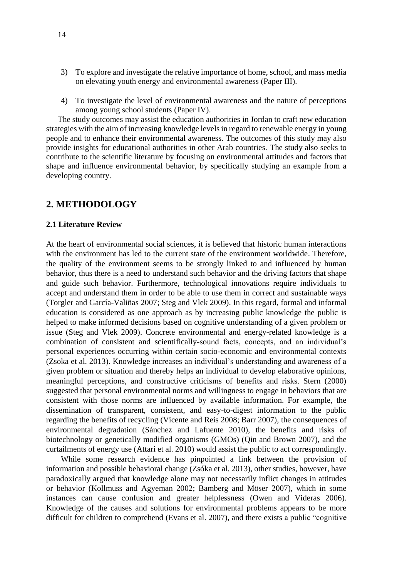- 3) To explore and investigate the relative importance of home, school, and mass media on elevating youth energy and environmental awareness (Paper III).
- 4) To investigate the level of environmental awareness and the nature of perceptions among young school students (Paper IV).

The study outcomes may assist the education authorities in Jordan to craft new education strategies with the aim of increasing knowledge levels in regard to renewable energy in young people and to enhance their environmental awareness. The outcomes of this study may also provide insights for educational authorities in other Arab countries. The study also seeks to contribute to the scientific literature by focusing on environmental attitudes and factors that shape and influence environmental behavior, by specifically studying an example from a developing country.

### <span id="page-13-0"></span>**2. METHODOLOGY**

#### <span id="page-13-1"></span>**2.1 Literature Review**

At the heart of environmental social sciences, it is believed that historic human interactions with the environment has led to the current state of the environment worldwide. Therefore, the quality of the environment seems to be strongly linked to and influenced by human behavior, thus there is a need to understand such behavior and the driving factors that shape and guide such behavior. Furthermore, technological innovations require individuals to accept and understand them in order to be able to use them in correct and sustainable ways (Torgler and García-Valiñas 2007; Steg and Vlek 2009). In this regard, formal and informal education is considered as one approach as by increasing public knowledge the public is helped to make informed decisions based on cognitive understanding of a given problem or issue (Steg and Vlek 2009). Concrete environmental and energy-related knowledge is a combination of consistent and scientifically-sound facts, concepts, and an individual's personal experiences occurring within certain socio-economic and environmental contexts (Zsoka et al. 2013). Knowledge increases an individual's understanding and awareness of a given problem or situation and thereby helps an individual to develop elaborative opinions, meaningful perceptions, and constructive criticisms of benefits and risks. Stern (2000) suggested that personal environmental norms and willingness to engage in behaviors that are consistent with those norms are influenced by available information. For example, the dissemination of transparent, consistent, and easy-to-digest information to the public regarding the benefits of recycling (Vicente and Reis 2008; Barr 2007), the consequences of environmental degradation (Sánchez and Lafuente 2010), the benefits and risks of biotechnology or genetically modified organisms (GMOs) (Qin and Brown 2007), and the curtailments of energy use (Attari et al. 2010) would assist the public to act correspondingly.

While some research evidence has pinpointed a link between the provision of information and possible behavioral change (Zsóka et al. 2013), other studies, however, have paradoxically argued that knowledge alone may not necessarily inflict changes in attitudes or behavior (Kollmuss and Agyeman 2002; Bamberg and Möser 2007), which in some instances can cause confusion and greater helplessness (Owen and Videras 2006). Knowledge of the causes and solutions for environmental problems appears to be more difficult for children to comprehend (Evans et al. 2007), and there exists a public "cognitive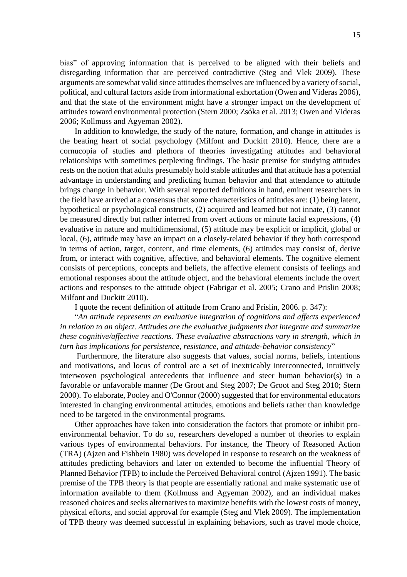bias" of approving information that is perceived to be aligned with their beliefs and disregarding information that are perceived contradictive (Steg and Vlek 2009). These arguments are somewhat valid since attitudes themselves are influenced by a variety of social, political, and cultural factors aside from informational exhortation (Owen and Videras 2006), and that the state of the environment might have a stronger impact on the development of attitudes toward environmental protection (Stern 2000; Zsóka et al. 2013; Owen and Videras 2006; Kollmuss and Agyeman 2002).

In addition to knowledge, the study of the nature, formation, and change in attitudes is the beating heart of social psychology (Milfont and Duckitt 2010). Hence, there are a cornucopia of studies and plethora of theories investigating attitudes and behavioral relationships with sometimes perplexing findings. The basic premise for studying attitudes rests on the notion that adults presumably hold stable attitudes and that attitude has a potential advantage in understanding and predicting human behavior and that attendance to attitude brings change in behavior. With several reported definitions in hand, eminent researchers in the field have arrived at a consensus that some characteristics of attitudes are: (1) being latent, hypothetical or psychological constructs, (2) acquired and learned but not innate, (3) cannot be measured directly but rather inferred from overt actions or minute facial expressions, (4) evaluative in nature and multidimensional, (5) attitude may be explicit or implicit, global or local, (6), attitude may have an impact on a closely-related behavior if they both correspond in terms of action, target, content, and time elements, (6) attitudes may consist of, derive from, or interact with cognitive, affective, and behavioral elements. The cognitive element consists of perceptions, concepts and beliefs, the affective element consists of feelings and emotional responses about the attitude object, and the behavioral elements include the overt actions and responses to the attitude object (Fabrigar et al. 2005; Crano and Prislin 2008; Milfont and Duckitt 2010).

I quote the recent definition of attitude from Crano and Prislin, 2006. p. 347):

"*An attitude represents an evaluative integration of cognitions and affects experienced in relation to an object. Attitudes are the evaluative judgments that integrate and summarize these cognitive/affective reactions. These evaluative abstractions vary in strength, which in turn has implications for persistence, resistance, and attitude-behavior consistency*"

Furthermore, the literature also suggests that values, social norms, beliefs, intentions and motivations, and locus of control are a set of inextricably interconnected, intuitively interwoven psychological antecedents that influence and steer human behavior(s) in a favorable or unfavorable manner (De Groot and Steg 2007; De Groot and Steg 2010; Stern 2000). To elaborate, Pooley and O'Connor (2000) suggested that for environmental educators interested in changing environmental attitudes, emotions and beliefs rather than knowledge need to be targeted in the environmental programs.

Other approaches have taken into consideration the factors that promote or inhibit proenvironmental behavior. To do so, researchers developed a number of theories to explain various types of environmental behaviors. For instance, the Theory of Reasoned Action (TRA) (Ajzen and Fishbein 1980) was developed in response to research on the weakness of attitudes predicting behaviors and later on extended to become the influential Theory of Planned Behavior (TPB) to include the Perceived Behavioral control (Ajzen 1991). The basic premise of the TPB theory is that people are essentially rational and make systematic use of information available to them (Kollmuss and Agyeman 2002), and an individual makes reasoned choices and seeks alternatives to maximize benefits with the lowest costs of money, physical efforts, and social approval for example (Steg and Vlek 2009). The implementation of TPB theory was deemed successful in explaining behaviors, such as travel mode choice,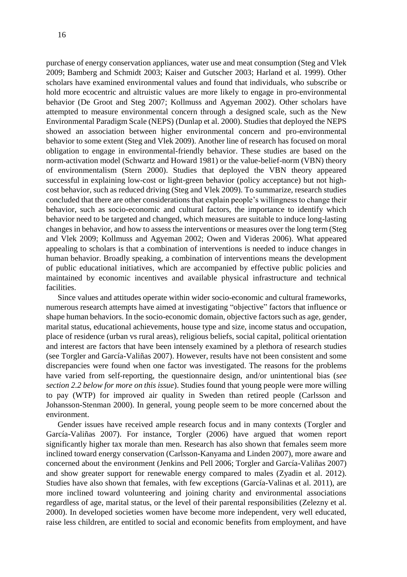purchase of energy conservation appliances, water use and meat consumption (Steg and Vlek 2009; Bamberg and Schmidt 2003; Kaiser and Gutscher 2003; Harland et al. 1999). Other scholars have examined environmental values and found that individuals, who subscribe or hold more ecocentric and altruistic values are more likely to engage in pro-environmental behavior (De Groot and Steg 2007; Kollmuss and Agyeman 2002). Other scholars have attempted to measure environmental concern through a designed scale, such as the New Environmental Paradigm Scale (NEPS) (Dunlap et al. 2000). Studies that deployed the NEPS showed an association between higher environmental concern and pro-environmental behavior to some extent (Steg and Vlek 2009). Another line of research has focused on moral obligation to engage in environmental-friendly behavior. These studies are based on the norm-activation model (Schwartz and Howard 1981) or the value-belief-norm (VBN) theory of environmentalism (Stern 2000). Studies that deployed the VBN theory appeared successful in explaining low-cost or light-green behavior (policy acceptance) but not highcost behavior, such as reduced driving (Steg and Vlek 2009). To summarize, research studies concluded that there are other considerations that explain people's willingness to change their behavior, such as socio-economic and cultural factors, the importance to identify which behavior need to be targeted and changed, which measures are suitable to induce long-lasting changes in behavior, and how to assess the interventions or measures over the long term (Steg and Vlek 2009; Kollmuss and Agyeman 2002; Owen and Videras 2006). What appeared appealing to scholars is that a combination of interventions is needed to induce changes in human behavior. Broadly speaking, a combination of interventions means the development of public educational initiatives, which are accompanied by effective public policies and maintained by economic incentives and available physical infrastructure and technical facilities.

Since values and attitudes operate within wider socio-economic and cultural frameworks, numerous research attempts have aimed at investigating "objective" factors that influence or shape human behaviors. In the socio-economic domain, objective factors such as age, gender, marital status, educational achievements, house type and size, income status and occupation, place of residence (urban vs rural areas), religious beliefs, social capital, political orientation and interest are factors that have been intensely examined by a plethora of research studies (see Torgler and García-Valiñas 2007). However, results have not been consistent and some discrepancies were found when one factor was investigated. The reasons for the problems have varied from self-reporting, the questionnaire design, and/or unintentional bias (*see section 2.2 below for more on this issue*). Studies found that young people were more willing to pay (WTP) for improved air quality in Sweden than retired people (Carlsson and Johansson-Stenman 2000). In general, young people seem to be more concerned about the environment.

Gender issues have received ample research focus and in many contexts (Torgler and García-Valiñas 2007). For instance, Torgler (2006) have argued that women report significantly higher tax morale than men. Research has also shown that females seem more inclined toward energy conservation (Carlsson-Kanyama and Linden 2007), more aware and concerned about the environment (Jenkins and Pell 2006; Torgler and García-Valiñas 2007) and show greater support for renewable energy compared to males (Zyadin et al. 2012). Studies have also shown that females, with few exceptions (García-Valinas et al. 2011), are more inclined toward volunteering and joining charity and environmental associations regardless of age, marital status, or the level of their parental responsibilities (Zelezny et al. 2000). In developed societies women have become more independent, very well educated, raise less children, are entitled to social and economic benefits from employment, and have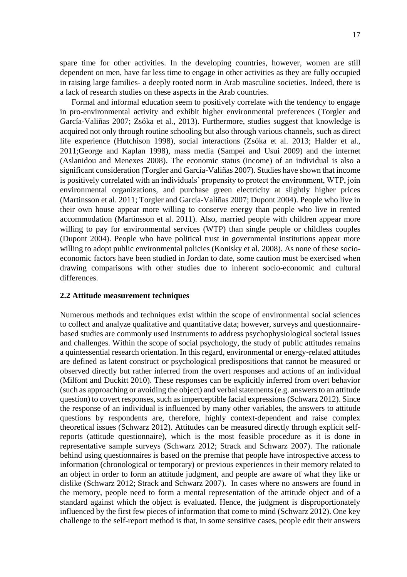spare time for other activities. In the developing countries, however, women are still dependent on men, have far less time to engage in other activities as they are fully occupied in raising large families- a deeply rooted norm in Arab masculine societies. Indeed, there is a lack of research studies on these aspects in the Arab countries.

Formal and informal education seem to positively correlate with the tendency to engage in pro-environmental activity and exhibit higher environmental preferences (Torgler and García-Valiñas 2007; Zsóka et al., 2013). Furthermore, studies suggest that knowledge is acquired not only through routine schooling but also through various channels, such as direct life experience (Hutchison 1998), social interactions (Zsóka et al. 2013; Halder et al., 2011;George and Kaplan 1998), mass media (Sampei and Usui 2009) and the internet (Aslanidou and Menexes 2008). The economic status (income) of an individual is also a significant consideration (Torgler and García-Valiñas 2007). Studies have shown that income is positively correlated with an individuals' propensity to protect the environment, WTP, join environmental organizations, and purchase green electricity at slightly higher prices (Martinsson et al. 2011; Torgler and García-Valiñas 2007; Dupont 2004). People who live in their own house appear more willing to conserve energy than people who live in rented accommodation (Martinsson et al. 2011). Also, married people with children appear more willing to pay for environmental services (WTP) than single people or childless couples (Dupont 2004). People who have political trust in governmental institutions appear more willing to adopt public environmental policies (Konisky et al. 2008). As none of these socioeconomic factors have been studied in Jordan to date, some caution must be exercised when drawing comparisons with other studies due to inherent socio-economic and cultural differences.

#### <span id="page-16-0"></span>**2.2 Attitude measurement techniques**

Numerous methods and techniques exist within the scope of environmental social sciences to collect and analyze qualitative and quantitative data; however, surveys and questionnairebased studies are commonly used instruments to address psychophysiological societal issues and challenges. Within the scope of social psychology, the study of public attitudes remains a quintessential research orientation. In this regard, environmental or energy-related attitudes are defined as latent construct or psychological predispositions that cannot be measured or observed directly but rather inferred from the overt responses and actions of an individual (Milfont and Duckitt 2010). These responses can be explicitly inferred from overt behavior (such as approaching or avoiding the object) and verbal statements (e.g. answers to an attitude question) to covert responses, such as imperceptible facial expressions (Schwarz 2012). Since the response of an individual is influenced by many other variables, the answers to attitude questions by respondents are, therefore, highly context-dependent and raise complex theoretical issues (Schwarz 2012). Attitudes can be measured directly through explicit selfreports (attitude questionnaire), which is the most feasible procedure as it is done in representative sample surveys (Schwarz 2012; Strack and Schwarz 2007). The rationale behind using questionnaires is based on the premise that people have introspective access to information (chronological or temporary) or previous experiences in their memory related to an object in order to form an attitude judgment, and people are aware of what they like or dislike (Schwarz 2012; Strack and Schwarz 2007). In cases where no answers are found in the memory, people need to form a mental representation of the attitude object and of a standard against which the object is evaluated. Hence, the judgment is disproportionately influenced by the first few pieces of information that come to mind (Schwarz 2012). One key challenge to the self-report method is that, in some sensitive cases, people edit their answers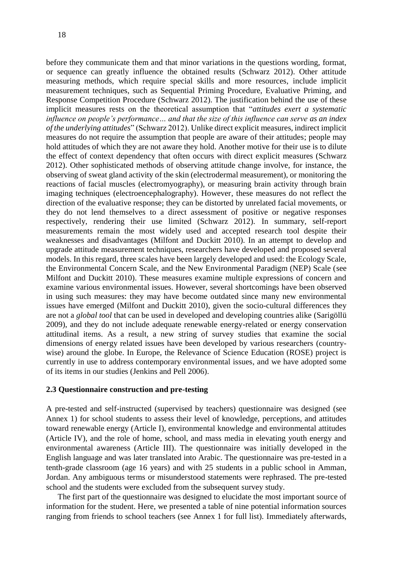before they communicate them and that minor variations in the questions wording, format, or sequence can greatly influence the obtained results (Schwarz 2012). Other attitude measuring methods, which require special skills and more resources, include implicit measurement techniques, such as Sequential Priming Procedure, Evaluative Priming, and Response Competition Procedure (Schwarz 2012). The justification behind the use of these implicit measures rests on the theoretical assumption that "*attitudes exert a systematic influence on people's performance… and that the size of this influence can serve as an index of the underlying attitudes*" (Schwarz 2012). Unlike direct explicit measures, indirect implicit measures do not require the assumption that people are aware of their attitudes; people may hold attitudes of which they are not aware they hold. Another motive for their use is to dilute the effect of context dependency that often occurs with direct explicit measures (Schwarz 2012). Other sophisticated methods of observing attitude change involve, for instance, the observing of sweat gland activity of the skin (electrodermal measurement), or monitoring the reactions of facial muscles (electromyography), or measuring brain activity through brain imaging techniques (electroencephalography). However, these measures do not reflect the direction of the evaluative response; they can be distorted by unrelated facial movements, or they do not lend themselves to a direct assessment of positive or negative responses respectively, rendering their use limited (Schwarz 2012). In summary, self-report measurements remain the most widely used and accepted research tool despite their weaknesses and disadvantages (Milfont and Duckitt 2010). In an attempt to develop and upgrade attitude measurement techniques, researchers have developed and proposed several models. In this regard, three scales have been largely developed and used: the Ecology Scale, the Environmental Concern Scale, and the New Environmental Paradigm (NEP) Scale (see Milfont and Duckitt 2010). These measures examine multiple expressions of concern and examine various environmental issues. However, several shortcomings have been observed in using such measures: they may have become outdated since many new environmental issues have emerged (Milfont and Duckitt 2010), given the socio-cultural differences they are not a *global tool* that can be used in developed and developing countries alike (Sarigöllü 2009), and they do not include adequate renewable energy-related or energy conservation attitudinal items. As a result, a new string of survey studies that examine the social dimensions of energy related issues have been developed by various researchers (countrywise) around the globe. In Europe, the Relevance of Science Education (ROSE) project is currently in use to address contemporary environmental issues, and we have adopted some of its items in our studies (Jenkins and Pell 2006).

#### <span id="page-17-0"></span>**2.3 Questionnaire construction and pre-testing**

A pre-tested and self-instructed (supervised by teachers) questionnaire was designed (see Annex 1) for school students to assess their level of knowledge, perceptions, and attitudes toward renewable energy (Article I), environmental knowledge and environmental attitudes (Article IV), and the role of home, school, and mass media in elevating youth energy and environmental awareness (Article III). The questionnaire was initially developed in the English language and was later translated into Arabic. The questionnaire was pre-tested in a tenth-grade classroom (age 16 years) and with 25 students in a public school in Amman, Jordan. Any ambiguous terms or misunderstood statements were rephrased. The pre-tested school and the students were excluded from the subsequent survey study.

The first part of the questionnaire was designed to elucidate the most important source of information for the student. Here, we presented a table of nine potential information sources ranging from friends to school teachers (see Annex 1 for full list). Immediately afterwards,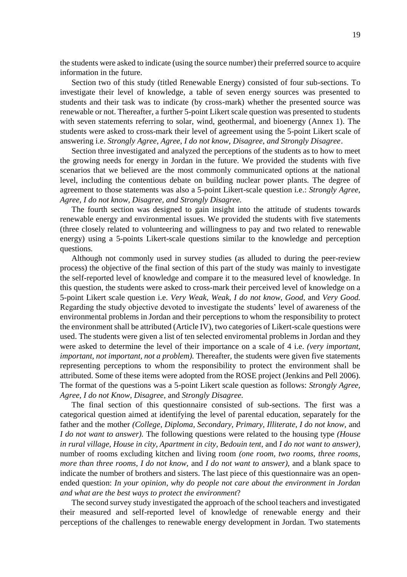the students were asked to indicate (using the source number) their preferred source to acquire information in the future.

Section two of this study (titled Renewable Energy) consisted of four sub-sections. To investigate their level of knowledge, a table of seven energy sources was presented to students and their task was to indicate (by cross-mark) whether the presented source was renewable or not. Thereafter, a further 5-point Likert scale question was presented to students with seven statements referring to solar, wind, geothermal, and bioenergy (Annex 1). The students were asked to cross-mark their level of agreement using the 5-point Likert scale of answering i.e. *Strongly Agree, Agree, I do not know, Disagree, and Strongly Disagree*.

Section three investigated and analyzed the perceptions of the students as to how to meet the growing needs for energy in Jordan in the future. We provided the students with five scenarios that we believed are the most commonly communicated options at the national level, including the contentious debate on building nuclear power plants. The degree of agreement to those statements was also a 5-point Likert-scale question i.e.: *Strongly Agree, Agree, I do not know, Disagree, and Strongly Disagree.* 

The fourth section was designed to gain insight into the attitude of students towards renewable energy and environmental issues. We provided the students with five statements (three closely related to volunteering and willingness to pay and two related to renewable energy) using a 5-points Likert-scale questions similar to the knowledge and perception questions.

Although not commonly used in survey studies (as alluded to during the peer-review process) the objective of the final section of this part of the study was mainly to investigate the self-reported level of knowledge and compare it to the measured level of knowledge. In this question, the students were asked to cross-mark their perceived level of knowledge on a 5-point Likert scale question i.e. *Very Weak, Weak, I do not know, Good,* and *Very Good.* Regarding the study objective devoted to investigate the students' level of awareness of the environmental problems in Jordan and their perceptions to whom the responsibility to protect the environment shall be attributed (Article IV), two categories of Likert-scale questions were used. The students were given a list of ten selected enviromental problems in Jordan and they were asked to determine the level of their importance on a scale of 4 i.e. *(very important, important, not important, not a problem).* Thereafter, the students were given five statements representing perceptions to whom the responsibility to protect the environment shall be attributed. Some of these items were adopted from the ROSE project (Jenkins and Pell 2006). The format of the questions was a 5-point Likert scale question as follows: *Strongly Agree, Agree, I do not Know, Disagree,* and *Strongly Disagree.*

The final section of this questionnaire consisted of sub-sections. The first was a categorical question aimed at identifying the level of parental education, separately for the father and the mother *(College, Diploma, Secondary, Primary, Illiterate, I do not know,* and *I do not want to answer).* The following questions were related to the housing type *(House in rural village, House in city, Apartment in city, Bedouin tent,* and *I do not want to answer),*  number of rooms excluding kitchen and living room *(one room, two rooms, three rooms, more than three rooms, I do not know,* and *I do not want to answer),* and a blank space to indicate the number of brothers and sisters. The last piece of this questionnaire was an openended question: *In your opinion, why do people not care about the environment in Jordan and what are the best ways to protect the environment*?

The second survey study investigated the approach of the school teachers and investigated their measured and self-reported level of knowledge of renewable energy and their perceptions of the challenges to renewable energy development in Jordan. Two statements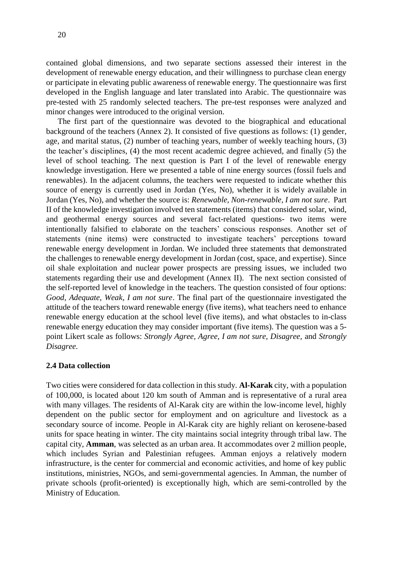contained global dimensions, and two separate sections assessed their interest in the development of renewable energy education, and their willingness to purchase clean energy or participate in elevating public awareness of renewable energy. The questionnaire was first developed in the English language and later translated into Arabic. The questionnaire was pre-tested with 25 randomly selected teachers. The pre-test responses were analyzed and minor changes were introduced to the original version.

The first part of the questionnaire was devoted to the biographical and educational background of the teachers (Annex 2). It consisted of five questions as follows: (1) gender, age, and marital status, (2) number of teaching years, number of weekly teaching hours, (3) the teacher's disciplines, (4) the most recent academic degree achieved, and finally (5) the level of school teaching. The next question is Part I of the level of renewable energy knowledge investigation. Here we presented a table of nine energy sources (fossil fuels and renewables). In the adjacent columns, the teachers were requested to indicate whether this source of energy is currently used in Jordan (Yes, No), whether it is widely available in Jordan (Yes, No), and whether the source is: *Renewable, Non-renewable, I am not sure*. Part II of the knowledge investigation involved ten statements (items) that considered solar, wind, and geothermal energy sources and several fact-related questions- two items were intentionally falsified to elaborate on the teachers' conscious responses. Another set of statements (nine items) were constructed to investigate teachers' perceptions toward renewable energy development in Jordan. We included three statements that demonstrated the challenges to renewable energy development in Jordan (cost, space, and expertise). Since oil shale exploitation and nuclear power prospects are pressing issues, we included two statements regarding their use and development (Annex II). The next section consisted of the self-reported level of knowledge in the teachers. The question consisted of four options: *Good, Adequate, Weak, I am not sure*. The final part of the questionnaire investigated the attitude of the teachers toward renewable energy (five items), what teachers need to enhance renewable energy education at the school level (five items), and what obstacles to in-class renewable energy education they may consider important (five items). The question was a 5 point Likert scale as follows: *Strongly Agree, Agree, I am not sure, Disagree,* and *Strongly Disagree.* 

#### <span id="page-19-0"></span>**2.4 Data collection**

Two cities were considered for data collection in this study. **Al-Karak** city, with a population of 100,000, is located about 120 km south of Amman and is representative of a rural area with many villages. The residents of Al-Karak city are within the low-income level, highly dependent on the public sector for employment and on agriculture and livestock as a secondary source of income. People in Al-Karak city are highly reliant on kerosene-based units for space heating in winter. The city maintains social integrity through tribal law. The capital city, **Amman**, was selected as an urban area. It accommodates over 2 million people, which includes Syrian and Palestinian refugees. Amman enjoys a relatively modern infrastructure, is the center for commercial and economic activities, and home of key public institutions, ministries, NGOs, and semi-governmental agencies. In Amman, the number of private schools (profit-oriented) is exceptionally high, which are semi-controlled by the Ministry of Education.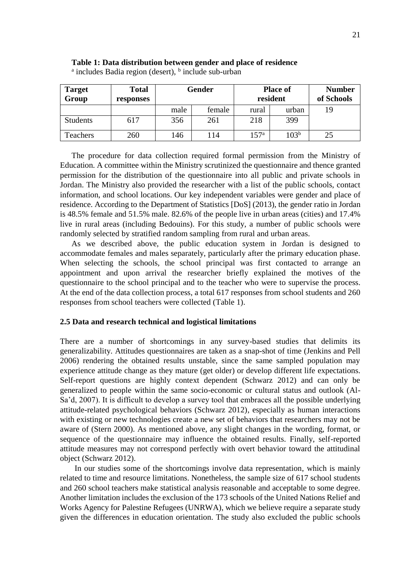| <b>Target</b><br>Group | <b>Total</b><br>responses | Gender |        |               | <b>Place of</b><br>resident | <b>Number</b><br>of Schools |
|------------------------|---------------------------|--------|--------|---------------|-----------------------------|-----------------------------|
|                        |                           | male   | female | rural         | urban                       | 19                          |
| Students               | 617                       | 356    | 261    | 218           | 399                         |                             |
| Teachers               | 260                       | 146    | 114    | $157^{\rm a}$ | $103^{\rm b}$               | 25                          |

#### **Table 1: Data distribution between gender and place of residence**

<sup>a</sup> includes Badia region (desert), <sup>b</sup> include sub-urban

The procedure for data collection required formal permission from the Ministry of Education. A committee within the Ministry scrutinized the questionnaire and thence granted permission for the distribution of the questionnaire into all public and private schools in Jordan. The Ministry also provided the researcher with a list of the public schools, contact information, and school locations. Our key independent variables were gender and place of residence. According to the Department of Statistics [DoS] (2013), the gender ratio in Jordan is 48.5% female and 51.5% male. 82.6% of the people live in urban areas (cities) and 17.4% live in rural areas (including Bedouins). For this study, a number of public schools were randomly selected by stratified random sampling from rural and urban areas.

As we described above, the public education system in Jordan is designed to accommodate females and males separately, particularly after the primary education phase. When selecting the schools, the school principal was first contacted to arrange an appointment and upon arrival the researcher briefly explained the motives of the questionnaire to the school principal and to the teacher who were to supervise the process. At the end of the data collection process, a total 617 responses from school students and 260 responses from school teachers were collected (Table 1).

#### <span id="page-20-0"></span>**2.5 Data and research technical and logistical limitations**

There are a number of shortcomings in any survey-based studies that delimits its generalizability. Attitudes questionnaires are taken as a snap-shot of time (Jenkins and Pell 2006) rendering the obtained results unstable, since the same sampled population may experience attitude change as they mature (get older) or develop different life expectations. Self-report questions are highly context dependent (Schwarz 2012) and can only be generalized to people within the same socio-economic or cultural status and outlook (Al-Sa'd, 2007). It is difficult to develop a survey tool that embraces all the possible underlying attitude-related psychological behaviors (Schwarz 2012), especially as human interactions with existing or new technologies create a new set of behaviors that researchers may not be aware of (Stern 2000). As mentioned above, any slight changes in the wording, format, or sequence of the questionnaire may influence the obtained results. Finally, self-reported attitude measures may not correspond perfectly with overt behavior toward the attitudinal object (Schwarz 2012).

In our studies some of the shortcomings involve data representation, which is mainly related to time and resource limitations. Nonetheless, the sample size of 617 school students and 260 school teachers make statistical analysis reasonable and acceptable to some degree. Another limitation includes the exclusion of the 173 schools of the United Nations Relief and Works Agency for Palestine Refugees (UNRWA), which we believe require a separate study given the differences in education orientation. The study also excluded the public schools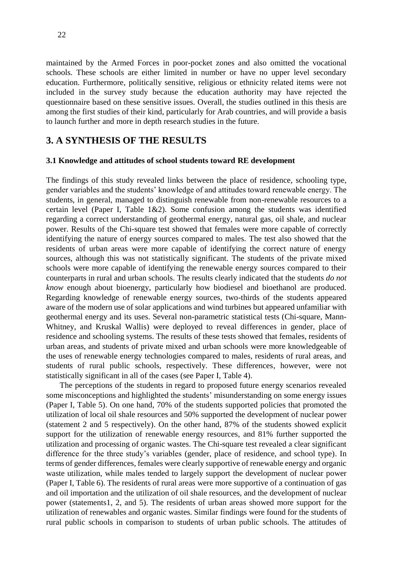maintained by the Armed Forces in poor-pocket zones and also omitted the vocational schools. These schools are either limited in number or have no upper level secondary education. Furthermore, politically sensitive, religious or ethnicity related items were not included in the survey study because the education authority may have rejected the questionnaire based on these sensitive issues. Overall, the studies outlined in this thesis are among the first studies of their kind, particularly for Arab countries, and will provide a basis to launch further and more in depth research studies in the future.

## <span id="page-21-0"></span>**3. A SYNTHESIS OF THE RESULTS**

#### <span id="page-21-1"></span>**3.1 Knowledge and attitudes of school students toward RE development**

The findings of this study revealed links between the place of residence, schooling type, gender variables and the students' knowledge of and attitudes toward renewable energy. The students, in general, managed to distinguish renewable from non-renewable resources to a certain level (Paper I, Table  $1\&2$ ). Some confusion among the students was identified regarding a correct understanding of geothermal energy, natural gas, oil shale, and nuclear power. Results of the Chi-square test showed that females were more capable of correctly identifying the nature of energy sources compared to males. The test also showed that the residents of urban areas were more capable of identifying the correct nature of energy sources, although this was not statistically significant. The students of the private mixed schools were more capable of identifying the renewable energy sources compared to their counterparts in rural and urban schools. The results clearly indicated that the students *do not know* enough about bioenergy, particularly how biodiesel and bioethanol are produced. Regarding knowledge of renewable energy sources, two-thirds of the students appeared aware of the modern use of solar applications and wind turbines but appeared unfamiliar with geothermal energy and its uses. Several non-parametric statistical tests (Chi-square, Mann-Whitney, and Kruskal Wallis) were deployed to reveal differences in gender, place of residence and schooling systems. The results of these tests showed that females, residents of urban areas, and students of private mixed and urban schools were more knowledgeable of the uses of renewable energy technologies compared to males, residents of rural areas, and students of rural public schools, respectively. These differences, however, were not statistically significant in all of the cases (see Paper I, Table 4).

The perceptions of the students in regard to proposed future energy scenarios revealed some misconceptions and highlighted the students' misunderstanding on some energy issues (Paper I, Table 5). On one hand, 70% of the students supported policies that promoted the utilization of local oil shale resources and 50% supported the development of nuclear power (statement 2 and 5 respectively). On the other hand, 87% of the students showed explicit support for the utilization of renewable energy resources, and 81% further supported the utilization and processing of organic wastes. The Chi-square test revealed a clear significant difference for the three study's variables (gender, place of residence, and school type). In terms of gender differences, females were clearly supportive of renewable energy and organic waste utilization, while males tended to largely support the development of nuclear power (Paper I, Table 6). The residents of rural areas were more supportive of a continuation of gas and oil importation and the utilization of oil shale resources, and the development of nuclear power (statements1, 2, and 5). The residents of urban areas showed more support for the utilization of renewables and organic wastes. Similar findings were found for the students of rural public schools in comparison to students of urban public schools. The attitudes of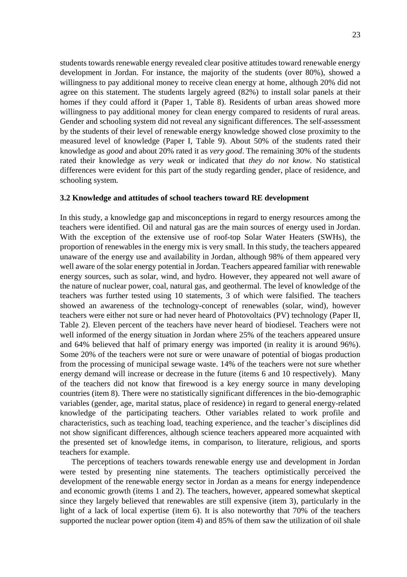students towards renewable energy revealed clear positive attitudes toward renewable energy development in Jordan. For instance, the majority of the students (over 80%), showed a willingness to pay additional money to receive clean energy at home, although 20% did not agree on this statement. The students largely agreed (82%) to install solar panels at their homes if they could afford it (Paper 1, Table 8). Residents of urban areas showed more willingness to pay additional money for clean energy compared to residents of rural areas. Gender and schooling system did not reveal any significant differences. The self-assessment by the students of their level of renewable energy knowledge showed close proximity to the measured level of knowledge (Paper I, Table 9). About 50% of the students rated their knowledge as *good* and about 20% rated it as *very good*. The remaining 30% of the students rated their knowledge as *very weak* or indicated that *they do not know*. No statistical differences were evident for this part of the study regarding gender, place of residence, and schooling system.

#### <span id="page-22-0"></span>**3.2 Knowledge and attitudes of school teachers toward RE development**

In this study, a knowledge gap and misconceptions in regard to energy resources among the teachers were identified. Oil and natural gas are the main sources of energy used in Jordan. With the exception of the extensive use of roof-top Solar Water Heaters (SWHs), the proportion of renewables in the energy mix is very small. In this study, the teachers appeared unaware of the energy use and availability in Jordan, although 98% of them appeared very well aware of the solar energy potential in Jordan. Teachers appeared familiar with renewable energy sources, such as solar, wind, and hydro. However, they appeared not well aware of the nature of nuclear power, coal, natural gas, and geothermal. The level of knowledge of the teachers was further tested using 10 statements, 3 of which were falsified. The teachers showed an awareness of the technology-concept of renewables (solar, wind), however teachers were either not sure or had never heard of Photovoltaics (PV) technology (Paper II, Table 2). Eleven percent of the teachers have never heard of biodiesel. Teachers were not well informed of the energy situation in Jordan where 25% of the teachers appeared unsure and 64% believed that half of primary energy was imported (in reality it is around 96%). Some 20% of the teachers were not sure or were unaware of potential of biogas production from the processing of municipal sewage waste. 14% of the teachers were not sure whether energy demand will increase or decrease in the future (items 6 and 10 respectively). Many of the teachers did not know that firewood is a key energy source in many developing countries (item 8). There were no statistically significant differences in the bio-demographic variables (gender, age, marital status, place of residence) in regard to general energy-related knowledge of the participating teachers. Other variables related to work profile and characteristics, such as teaching load, teaching experience, and the teacher's disciplines did not show significant differences, although science teachers appeared more acquainted with the presented set of knowledge items, in comparison, to literature, religious, and sports teachers for example.

The perceptions of teachers towards renewable energy use and development in Jordan were tested by presenting nine statements. The teachers optimistically perceived the development of the renewable energy sector in Jordan as a means for energy independence and economic growth (items 1 and 2). The teachers, however, appeared somewhat skeptical since they largely believed that renewables are still expensive (item 3), particularly in the light of a lack of local expertise (item 6). It is also noteworthy that 70% of the teachers supported the nuclear power option (item 4) and 85% of them saw the utilization of oil shale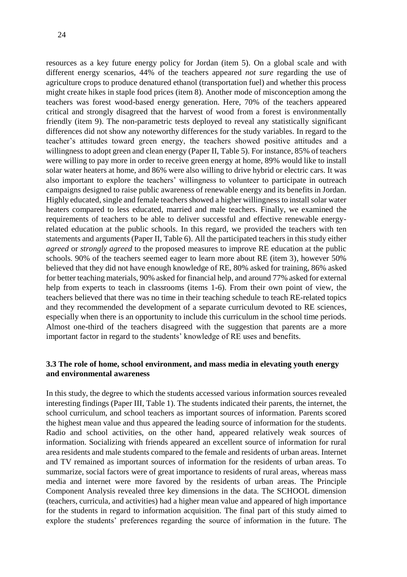resources as a key future energy policy for Jordan (item 5). On a global scale and with different energy scenarios, 44% of the teachers appeared *not sure* regarding the use of agriculture crops to produce denatured ethanol (transportation fuel) and whether this process might create hikes in staple food prices (item 8). Another mode of misconception among the teachers was forest wood-based energy generation. Here, 70% of the teachers appeared critical and strongly disagreed that the harvest of wood from a forest is environmentally friendly (item 9). The non-parametric tests deployed to reveal any statistically significant differences did not show any noteworthy differences for the study variables. In regard to the teacher's attitudes toward green energy, the teachers showed positive attitudes and a willingness to adopt green and clean energy (Paper II, Table 5). For instance, 85% of teachers were willing to pay more in order to receive green energy at home, 89% would like to install solar water heaters at home, and 86% were also willing to drive hybrid or electric cars. It was also important to explore the teachers' willingness to volunteer to participate in outreach campaigns designed to raise public awareness of renewable energy and its benefits in Jordan. Highly educated, single and female teachers showed a higher willingness to install solar water heaters compared to less educated, married and male teachers. Finally, we examined the requirements of teachers to be able to deliver successful and effective renewable energyrelated education at the public schools. In this regard, we provided the teachers with ten statements and arguments (Paper II, Table 6). All the participated teachers in this study either *agreed* or *strongly agreed* to the proposed measures to improve RE education at the public schools. 90% of the teachers seemed eager to learn more about RE (item 3), however 50% believed that they did not have enough knowledge of RE, 80% asked for training, 86% asked for better teaching materials, 90% asked for financial help, and around 77% asked for external help from experts to teach in classrooms (items 1-6). From their own point of view, the teachers believed that there was no time in their teaching schedule to teach RE-related topics and they recommended the development of a separate curriculum devoted to RE sciences, especially when there is an opportunity to include this curriculum in the school time periods. Almost one-third of the teachers disagreed with the suggestion that parents are a more important factor in regard to the students' knowledge of RE uses and benefits.

## <span id="page-23-0"></span>**3.3 The role of home, school environment, and mass media in elevating youth energy and environmental awareness**

In this study, the degree to which the students accessed various information sources revealed interesting findings (Paper III, Table 1). The students indicated their parents, the internet, the school curriculum, and school teachers as important sources of information. Parents scored the highest mean value and thus appeared the leading source of information for the students. Radio and school activities, on the other hand, appeared relatively weak sources of information. Socializing with friends appeared an excellent source of information for rural area residents and male students compared to the female and residents of urban areas. Internet and TV remained as important sources of information for the residents of urban areas. To summarize, social factors were of great importance to residents of rural areas, whereas mass media and internet were more favored by the residents of urban areas. The Principle Component Analysis revealed three key dimensions in the data. The SCHOOL dimension (teachers, curricula, and activities) had a higher mean value and appeared of high importance for the students in regard to information acquisition. The final part of this study aimed to explore the students' preferences regarding the source of information in the future. The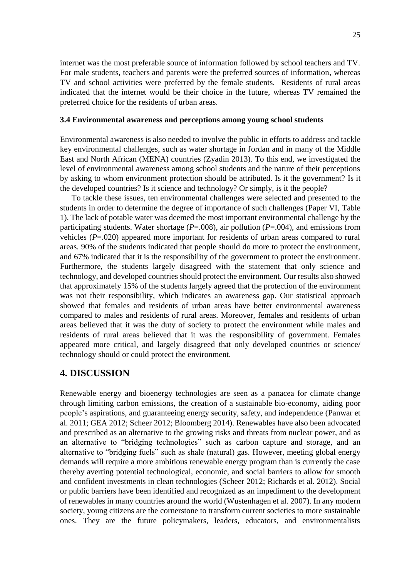internet was the most preferable source of information followed by school teachers and TV. For male students, teachers and parents were the preferred sources of information, whereas TV and school activities were preferred by the female students. Residents of rural areas indicated that the internet would be their choice in the future, whereas TV remained the preferred choice for the residents of urban areas.

#### <span id="page-24-0"></span>**3.4 Environmental awareness and perceptions among young school students**

Environmental awareness is also needed to involve the public in efforts to address and tackle key environmental challenges, such as water shortage in Jordan and in many of the Middle East and North African (MENA) countries (Zyadin 2013). To this end, we investigated the level of environmental awareness among school students and the nature of their perceptions by asking to whom environment protection should be attributed. Is it the government? Is it the developed countries? Is it science and technology? Or simply, is it the people?

To tackle these issues, ten environmental challenges were selected and presented to the students in order to determine the degree of importance of such challenges (Paper VI, Table 1). The lack of potable water was deemed the most important environmental challenge by the participating students. Water shortage (*P*=.008), air pollution (*P*=.004), and emissions from vehicles (*P*=.020) appeared more important for residents of urban areas compared to rural areas. 90% of the students indicated that people should do more to protect the environment, and 67% indicated that it is the responsibility of the government to protect the environment. Furthermore, the students largely disagreed with the statement that only science and technology, and developed countries should protect the environment. Our results also showed that approximately 15% of the students largely agreed that the protection of the environment was not their responsibility, which indicates an awareness gap. Our statistical approach showed that females and residents of urban areas have better environmental awareness compared to males and residents of rural areas. Moreover, females and residents of urban areas believed that it was the duty of society to protect the environment while males and residents of rural areas believed that it was the responsibility of government. Females appeared more critical, and largely disagreed that only developed countries or science/ technology should or could protect the environment.

## <span id="page-24-1"></span>**4. DISCUSSION**

Renewable energy and bioenergy technologies are seen as a panacea for climate change through limiting carbon emissions, the creation of a sustainable bio-economy, aiding poor people's aspirations, and guaranteeing energy security, safety, and independence (Panwar et al. 2011; GEA 2012; Scheer 2012; Bloomberg 2014). Renewables have also been advocated and prescribed as an alternative to the growing risks and threats from nuclear power, and as an alternative to "bridging technologies" such as carbon capture and storage, and an alternative to "bridging fuels" such as shale (natural) gas. However, meeting global energy demands will require a more ambitious renewable energy program than is currently the case thereby averting potential technological, economic, and social barriers to allow for smooth and confident investments in clean technologies (Scheer 2012; Richards et al. 2012). Social or public barriers have been identified and recognized as an impediment to the development of renewables in many countries around the world (Wustenhagen et al. 2007). In any modern society, young citizens are the cornerstone to transform current societies to more sustainable ones. They are the future policymakers, leaders, educators, and environmentalists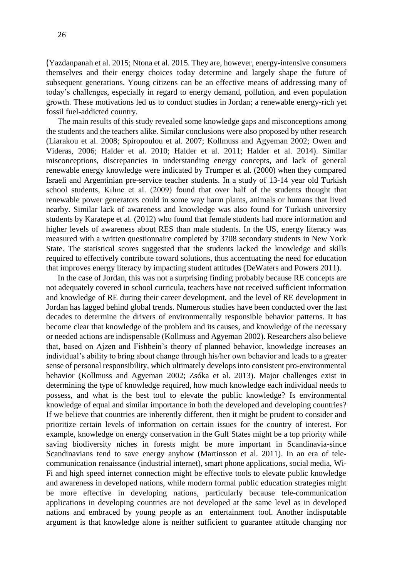(Yazdanpanah et al. 2015; Ntona et al. 2015. They are, however, energy-intensive consumers themselves and their energy choices today determine and largely shape the future of subsequent generations. Young citizens can be an effective means of addressing many of today's challenges, especially in regard to energy demand, pollution, and even population growth. These motivations led us to conduct studies in Jordan; a renewable energy-rich yet fossil fuel-addicted country.

The main results of this study revealed some knowledge gaps and misconceptions among the students and the teachers alike. Similar conclusions were also proposed by other research (Liarakou et al. 2008; Spiropoulou et al. 2007; Kollmuss and Agyeman 2002; Owen and Videras, 2006; Halder et al. 2010; Halder et al. 2011; Halder et al. 2014). Similar misconceptions, discrepancies in understanding energy concepts, and lack of general renewable energy knowledge were indicated by Trumper et al. (2000) when they compared Israeli and Argentinian pre-service teacher students. In a study of 13-14 year old Turkish school students, Kılınc et al. (2009) found that over half of the students thought that renewable power generators could in some way harm plants, animals or humans that lived nearby. Similar lack of awareness and knowledge was also found for Turkish university students by Karatepe et al. (2012) who found that female students had more information and higher levels of awareness about RES than male students. In the US, energy literacy was measured with a written questionnaire completed by 3708 secondary students in New York State. The statistical scores suggested that the students lacked the knowledge and skills required to effectively contribute toward solutions, thus accentuating the need for education that improves energy literacy by impacting student attitudes (DeWaters and Powers 2011).

In the case of Jordan, this was not a surprising finding probably because RE concepts are not adequately covered in school curricula, teachers have not received sufficient information and knowledge of RE during their career development, and the level of RE development in Jordan has lagged behind global trends. Numerous studies have been conducted over the last decades to determine the drivers of environmentally responsible behavior patterns. It has become clear that knowledge of the problem and its causes, and knowledge of the necessary or needed actions are indispensable (Kollmuss and Agyeman 2002). Researchers also believe that, based on Ajzen and Fishbein's theory of planned behavior, knowledge increases an individual's ability to bring about change through his/her own behavior and leads to a greater sense of personal responsibility, which ultimately develops into consistent pro-environmental behavior (Kollmuss and Agyeman 2002; Zsóka et al. 2013). Major challenges exist in determining the type of knowledge required, how much knowledge each individual needs to possess, and what is the best tool to elevate the public knowledge? Is environmental knowledge of equal and similar importance in both the developed and developing countries? If we believe that countries are inherently different, then it might be prudent to consider and prioritize certain levels of information on certain issues for the country of interest. For example, knowledge on energy conservation in the Gulf States might be a top priority while saving biodiversity niches in forests might be more important in Scandinavia-since Scandinavians tend to save energy anyhow (Martinsson et al. 2011). In an era of telecommunication renaissance (industrial internet), smart phone applications, social media, Wi-Fi and high speed internet connection might be effective tools to elevate public knowledge and awareness in developed nations, while modern formal public education strategies might be more effective in developing nations, particularly because tele-communication applications in developing countries are not developed at the same level as in developed nations and embraced by young people as an entertainment tool. Another indisputable argument is that knowledge alone is neither sufficient to guarantee attitude changing nor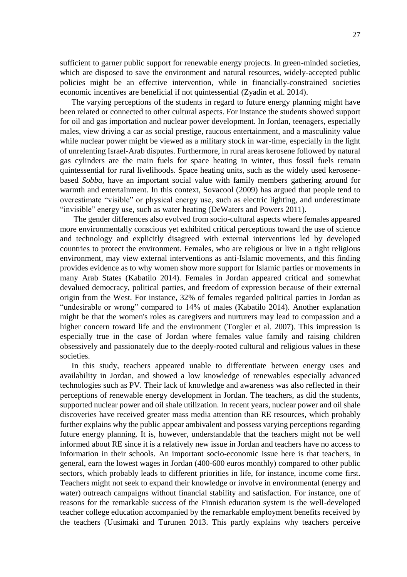sufficient to garner public support for renewable energy projects. In green-minded societies, which are disposed to save the environment and natural resources, widely-accepted public policies might be an effective intervention, while in financially-constrained societies economic incentives are beneficial if not quintessential (Zyadin et al. 2014).

The varying perceptions of the students in regard to future energy planning might have been related or connected to other cultural aspects. For instance the students showed support for oil and gas importation and nuclear power development. In Jordan, teenagers, especially males, view driving a car as social prestige, raucous entertainment, and a masculinity value while nuclear power might be viewed as a military stock in war-time, especially in the light of unrelenting Israel-Arab disputes. Furthermore, in rural areas kerosene followed by natural gas cylinders are the main fuels for space heating in winter, thus fossil fuels remain quintessential for rural livelihoods. Space heating units, such as the widely used kerosenebased *Sobba*, have an important social value with family members gathering around for warmth and entertainment. In this context, Sovacool (2009) has argued that people tend to overestimate "visible" or physical energy use, such as electric lighting, and underestimate "invisible" energy use, such as water heating (DeWaters and Powers 2011).

The gender differences also evolved from socio-cultural aspects where females appeared more environmentally conscious yet exhibited critical perceptions toward the use of science and technology and explicitly disagreed with external interventions led by developed countries to protect the environment. Females, who are religious or live in a tight religious environment, may view external interventions as anti-Islamic movements, and this finding provides evidence as to why women show more support for Islamic parties or movements in many Arab States (Kabatilo 2014). Females in Jordan appeared critical and somewhat devalued democracy, political parties, and freedom of expression because of their external origin from the West. For instance, 32% of females regarded political parties in Jordan as "undesirable or wrong" compared to 14% of males (Kabatilo 2014). Another explanation might be that the women's roles as caregivers and nurturers may lead to compassion and a higher concern toward life and the environment (Torgler et al. 2007). This impression is especially true in the case of Jordan where females value family and raising children obsessively and passionately due to the deeply-rooted cultural and religious values in these societies.

In this study, teachers appeared unable to differentiate between energy uses and availability in Jordan, and showed a low knowledge of renewables especially advanced technologies such as PV. Their lack of knowledge and awareness was also reflected in their perceptions of renewable energy development in Jordan. The teachers, as did the students, supported nuclear power and oil shale utilization. In recent years, nuclear power and oil shale discoveries have received greater mass media attention than RE resources, which probably further explains why the public appear ambivalent and possess varying perceptions regarding future energy planning. It is, however, understandable that the teachers might not be well informed about RE since it is a relatively new issue in Jordan and teachers have no access to information in their schools. An important socio-economic issue here is that teachers, in general, earn the lowest wages in Jordan (400-600 euros monthly) compared to other public sectors, which probably leads to different priorities in life, for instance, income come first. Teachers might not seek to expand their knowledge or involve in environmental (energy and water) outreach campaigns without financial stability and satisfaction. For instance, one of reasons for the remarkable success of the Finnish education system is the well-developed teacher college education accompanied by the remarkable employment benefits received by the teachers (Uusimaki and Turunen 2013. This partly explains why teachers perceive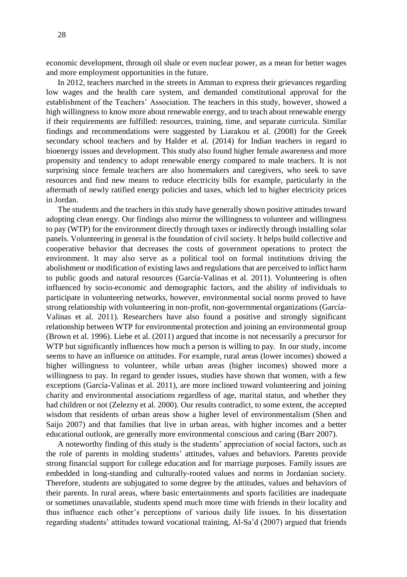28

economic development, through oil shale or even nuclear power, as a mean for better wages and more employment opportunities in the future.

In 2012, teachers marched in the streets in Amman to express their grievances regarding low wages and the health care system, and demanded constitutional approval for the establishment of the Teachers' Association. The teachers in this study, however, showed a high willingness to know more about renewable energy, and to teach about renewable energy if their requirements are fulfilled: resources, training, time, and separate curricula. Similar findings and recommendations were suggested by Liarakou et al. (2008) for the Greek secondary school teachers and by Halder et al. (2014) for Indian teachers in regard to bioenergy issues and development. This study also found higher female awareness and more propensity and tendency to adopt renewable energy compared to male teachers. It is not surprising since female teachers are also homemakers and caregivers, who seek to save resources and find new means to reduce electricity bills for example, particularly in the aftermath of newly ratified energy policies and taxes, which led to higher electricity prices in Jordan.

The students and the teachers in this study have generally shown positive attitudes toward adopting clean energy. Our findings also mirror the willingness to volunteer and willingness to pay (WTP) for the environment directly through taxes or indirectly through installing solar panels. Volunteering in general is the foundation of civil society. It helps build collective and cooperative behavior that decreases the costs of government operations to protect the environment. It may also serve as a political tool on formal institutions driving the abolishment or modification of existing laws and regulations that are perceived to inflict harm to public goods and natural resources (García-Valinas et al. 2011). Volunteering is often influenced by socio-economic and demographic factors, and the ability of individuals to participate in volunteering networks, however, environmental social norms proved to have strong relationship with volunteering in non-profit, non-governmental organizations (García-Valinas et al. 2011). Researchers have also found a positive and strongly significant relationship between WTP for environmental protection and joining an environmental group (Brown et al. 1996). Liebe et al. (2011) argued that income is not necessarily a precursor for WTP but significantly influences how much a person is willing to pay. In our study, income seems to have an influence on attitudes. For example, rural areas (lower incomes) showed a higher willingness to volunteer, while urban areas (higher incomes) showed more a willingness to pay. In regard to gender issues, studies have shown that women, with a few exceptions (García-Valinas et al. 2011), are more inclined toward volunteering and joining charity and environmental associations regardless of age, marital status, and whether they had children or not (Zelezny et al. 2000). Our results contradict, to some extent, the accepted wisdom that residents of urban areas show a higher level of environmentalism (Shen and Saijo 2007) and that families that live in urban areas, with higher incomes and a better educational outlook, are generally more environmental conscious and caring (Barr 2007).

A noteworthy finding of this study is the students' appreciation of social factors, such as the role of parents in molding students' attitudes, values and behaviors. Parents provide strong financial support for college education and for marriage purposes. Family issues are embedded in long-standing and culturally-rooted values and norms in Jordanian society. Therefore, students are subjugated to some degree by the attitudes, values and behaviors of their parents. In rural areas, where basic entertainments and sports facilities are inadequate or sometimes unavailable, students spend much more time with friends in their locality and thus influence each other's perceptions of various daily life issues. In his dissertation regarding students' attitudes toward vocational training, Al-Sa'd (2007) argued that friends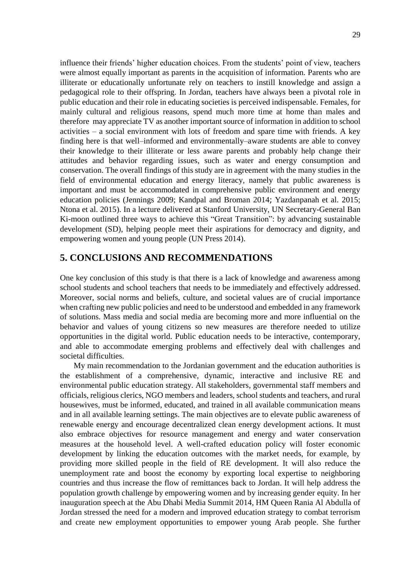influence their friends' higher education choices. From the students' point of view, teachers were almost equally important as parents in the acquisition of information. Parents who are illiterate or educationally unfortunate rely on teachers to instill knowledge and assign a pedagogical role to their offspring. In Jordan, teachers have always been a pivotal role in public education and their role in educating societies is perceived indispensable. Females, for mainly cultural and religious reasons, spend much more time at home than males and therefore may appreciate TV as another important source of information in addition to school activities – a social environment with lots of freedom and spare time with friends. A key finding here is that well–informed and environmentally–aware students are able to convey their knowledge to their illiterate or less aware parents and probably help change their attitudes and behavior regarding issues, such as water and energy consumption and conservation. The overall findings of this study are in agreement with the many studies in the field of environmental education and energy literacy, namely that public awareness is important and must be accommodated in comprehensive public environment and energy education policies (Jennings 2009; Kandpal and Broman 2014; Yazdanpanah et al. 2015; Ntona et al. 2015). In a lecture delivered at Stanford University, UN Secretary-General Ban Ki-moon outlined three ways to achieve this "Great Transition": by advancing sustainable development (SD), helping people meet their aspirations for democracy and dignity, and empowering women and young people (UN Press 2014).

## <span id="page-28-0"></span>**5. CONCLUSIONS AND RECOMMENDATIONS**

One key conclusion of this study is that there is a lack of knowledge and awareness among school students and school teachers that needs to be immediately and effectively addressed. Moreover, social norms and beliefs, culture, and societal values are of crucial importance when crafting new public policies and need to be understood and embedded in any framework of solutions. Mass media and social media are becoming more and more influential on the behavior and values of young citizens so new measures are therefore needed to utilize opportunities in the digital world. Public education needs to be interactive, contemporary, and able to accommodate emerging problems and effectively deal with challenges and societal difficulties.

My main recommendation to the Jordanian government and the education authorities is the establishment of a comprehensive, dynamic, interactive and inclusive RE and environmental public education strategy. All stakeholders, governmental staff members and officials, religious clerics, NGO members and leaders, school students and teachers, and rural housewives, must be informed, educated, and trained in all available communication means and in all available learning settings. The main objectives are to elevate public awareness of renewable energy and encourage decentralized clean energy development actions. It must also embrace objectives for resource management and energy and water conservation measures at the household level. A well-crafted education policy will foster economic development by linking the education outcomes with the market needs, for example, by providing more skilled people in the field of RE development. It will also reduce the unemployment rate and boost the economy by exporting local expertise to neighboring countries and thus increase the flow of remittances back to Jordan. It will help address the population growth challenge by empowering women and by increasing gender equity. In her inauguration speech at the Abu Dhabi Media Summit 2014, HM Queen Rania Al Abdulla of Jordan stressed the need for a modern and improved education strategy to combat terrorism and create new employment opportunities to empower young Arab people. She further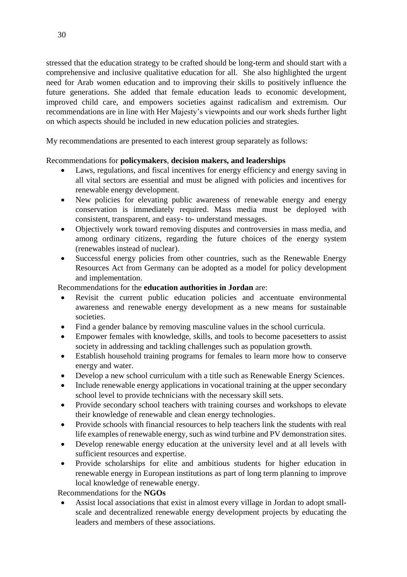stressed that the education strategy to be crafted should be long-term and should start with a comprehensive and inclusive qualitative education for all. She also highlighted the urgent need for Arab women education and to improving their skills to positively influence the future generations. She added that female education leads to economic development, improved child care, and empowers societies against radicalism and extremism. Our recommendations are in line with Her Majesty's viewpoints and our work sheds further light on which aspects should be included in new education policies and strategies.

My recommendations are presented to each interest group separately as follows:

## Recommendations for **policymakers**, **decision makers, and leaderships**

- Laws, regulations, and fiscal incentives for energy efficiency and energy saving in all vital sectors are essential and must be aligned with policies and incentives for renewable energy development.
- New policies for elevating public awareness of renewable energy and energy conservation is immediately required. Mass media must be deployed with consistent, transparent, and easy- to- understand messages.
- Objectively work toward removing disputes and controversies in mass media, and among ordinary citizens, regarding the future choices of the energy system (renewables instead of nuclear).
- Successful energy policies from other countries, such as the Renewable Energy Resources Act from Germany can be adopted as a model for policy development and implementation.

## Recommendations for the **education authorities in Jordan** are:

- Revisit the current public education policies and accentuate environmental awareness and renewable energy development as a new means for sustainable societies.
- Find a gender balance by removing masculine values in the school curricula.
- Empower females with knowledge, skills, and tools to become pacesetters to assist society in addressing and tackling challenges such as population growth.
- Establish household training programs for females to learn more how to conserve energy and water.
- Develop a new school curriculum with a title such as Renewable Energy Sciences.
- Include renewable energy applications in vocational training at the upper secondary school level to provide technicians with the necessary skill sets.
- Provide secondary school teachers with training courses and workshops to elevate their knowledge of renewable and clean energy technologies.
- Provide schools with financial resources to help teachers link the students with real life examples of renewable energy, such as wind turbine and PV demonstration sites.
- Develop renewable energy education at the university level and at all levels with sufficient resources and expertise.
- Provide scholarships for elite and ambitious students for higher education in renewable energy in European institutions as part of long term planning to improve local knowledge of renewable energy.

Recommendations for the **NGOs** 

 Assist local associations that exist in almost every village in Jordan to adopt smallscale and decentralized renewable energy development projects by educating the leaders and members of these associations.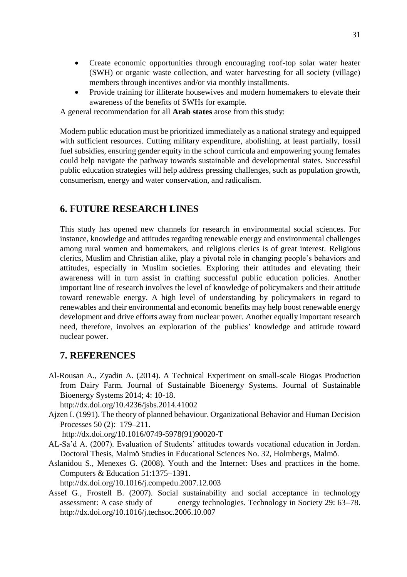- Create economic opportunities through encouraging roof-top solar water heater (SWH) or organic waste collection, and water harvesting for all society (village) members through incentives and/or via monthly installments.
- Provide training for illiterate housewives and modern homemakers to elevate their awareness of the benefits of SWHs for example.

A general recommendation for all **Arab states** arose from this study:

Modern public education must be prioritized immediately as a national strategy and equipped with sufficient resources. Cutting military expenditure, abolishing, at least partially, fossil fuel subsidies, ensuring gender equity in the school curricula and empowering young females could help navigate the pathway towards sustainable and developmental states. Successful public education strategies will help address pressing challenges, such as population growth, consumerism, energy and water conservation, and radicalism.

## <span id="page-30-0"></span>**6. FUTURE RESEARCH LINES**

This study has opened new channels for research in environmental social sciences. For instance, knowledge and attitudes regarding renewable energy and environmental challenges among rural women and homemakers, and religious clerics is of great interest. Religious clerics, Muslim and Christian alike, play a pivotal role in changing people's behaviors and attitudes, especially in Muslim societies. Exploring their attitudes and elevating their awareness will in turn assist in crafting successful public education policies. Another important line of research involves the level of knowledge of policymakers and their attitude toward renewable energy. A high level of understanding by policymakers in regard to renewables and their environmental and economic benefits may help boost renewable energy development and drive efforts away from nuclear power. Another equally important research need, therefore, involves an exploration of the publics' knowledge and attitude toward nuclear power.

## <span id="page-30-1"></span>**7. REFERENCES**

Al-Rousan A., Zyadin A. (2014). A Technical Experiment on small-scale Biogas Production from Dairy Farm. Journal of Sustainable Bioenergy Systems. Journal of Sustainable Bioenergy Systems 2014; 4: 10-18.

<http://dx.doi.org/10.4236/jsbs.2014.41002>

Ajzen I. (1991). The theory of planned behaviour. Organizational Behavior and Human Decision Processes 50 (2): 179–211.

[http://dx.doi.org/10.1016/0749-5978\(91\)90020-T](http://dx.doi.org/10.1016/0749-5978(91)90020-T)

- AL-Sa'd A. (2007). Evaluation of Students' attitudes towards vocational education in Jordan. Doctoral Thesis, Malmö Studies in Educational Sciences No. 32, Holmbergs, Malmö.
- Aslanidou S., Menexes G. (2008). Youth and the Internet: Uses and practices in the home. Computers & Education 51:1375–1391.

http://dx.doi.org/10.1016/j.compedu.2007.12.003

Assef G., Frostell B. (2007). Social sustainability and social acceptance in technology assessment: A case study of energy technologies. Technology in Society 29: 63–78. http://dx.doi.org/10.1016/j.techsoc.2006.10.007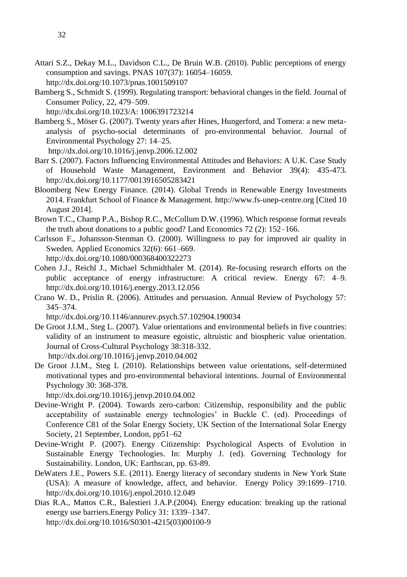- Attari S.Z., Dekay M.L., Davidson C.L., De Bruin W.B. (2010). Public perceptions of energy consumption and savings. PNAS 107(37): 16054–16059. http://dx.doi.org/10.1073/pnas.1001509107
- Bamberg S., Schmidt S. (1999). Regulating transport: behavioral changes in the field. Journal of Consumer Policy, 22, 479–509.

http://dx.doi.org/10.1023/A: 1006391723214

Bamberg S., Möser G. (2007). Twenty years after Hines, Hungerford, and Tomera: a new metaanalysis of psycho-social determinants of pro-environmental behavior. Journal of Environmental Psychology 27: 14–25.

<http://dx.doi.org/10.1016/j.jenvp.2006.12.002>

- Barr S. (2007). Factors Influencing Environmental Attitudes and Behaviors: A U.K. Case Study of Household Waste Management, Environment and Behavior 39(4): 435-473. http://dx.doi.org/10.1177/0013916505283421
- Bloomberg New Energy Finance. (2014). Global Trends in Renewable Energy Investments 2014. Frankfurt School of Finance & Management. [http://www.fs-unep-centre.org](http://www.fs-unep-centre.org/) [Cited 10 August 2014].
- Brown T.C., Champ P.A., Bishop R.C., McCollum D.W. (1996). Which response format reveals the truth about donations to a public good? Land Economics 72 (2): 152–166.
- Carlsson F., Johansson-Stenman O. (2000). Willingness to pay for improved air quality in Sweden. Applied Economics 32(6): 661–669. http://dx.doi.org/10.1080/000368400322273
- Cohen J.J., Reichl J., Michael Schmidthaler M. (2014). Re-focusing research efforts on the public acceptance of energy infrastructure: A critical review. Energy 67: 4–9. <http://dx.doi.org/10.1016/j.energy.2013.12.056>
- Crano W. D., Prislin R. (2006). Attitudes and persuasion. Annual Review of Psychology 57: 345–374.

http://dx.doi.org/10.1146/annurev.psych.57.102904.190034

- De Groot J.I.M., Steg L. (2007). Value orientations and environmental beliefs in five countries: validity of an instrument to measure egoistic, altruistic and biospheric value orientation. Journal of Cross-Cultural Psychology 38:318-332. <http://dx.doi.org/10.1016/j.jenvp.2010.04.002>
- De Groot J.I.M., Steg L (2010). Relationships between value orientations, self-determined motivational types and pro-environmental behavioral intentions. Journal of Environmental Psychology 30: 368-378.

<http://dx.doi.org/10.1016/j.jenvp.2010.04.002>

- Devine-Wright P. (2004). Towards zero-carbon: Citizenship, responsibility and the public acceptability of sustainable energy technologies' in Buckle C. (ed). Proceedings of Conference C81 of the Solar Energy Society, UK Section of the International Solar Energy Society, 21 September, London, pp51–62
- Devine-Wright P. (2007). Energy Citizenship: Psychological Aspects of Evolution in Sustainable Energy Technologies. In: Murphy J. (ed). Governing Technology for Sustainability. London, UK: Earthscan, pp. 63-89.
- DeWaters J.E., Powers S.E. (2011). Energy literacy of secondary students in New York State (USA): A measure of knowledge, affect, and behavior. Energy Policy 39:1699–1710. http://dx.doi.org/10.1016/j.enpol.2010.12.049
- Dias R.A., Mattos C.R., Balestieri J.A.P.(2004). Energy education: breaking up the rational energy use barriers.Energy Policy 31: 1339–1347.

[http://dx.doi.org/10.1016/S0301-4215\(03\)00100-9](http://dx.doi.org/10.1016/S0301-4215(03)00100-9)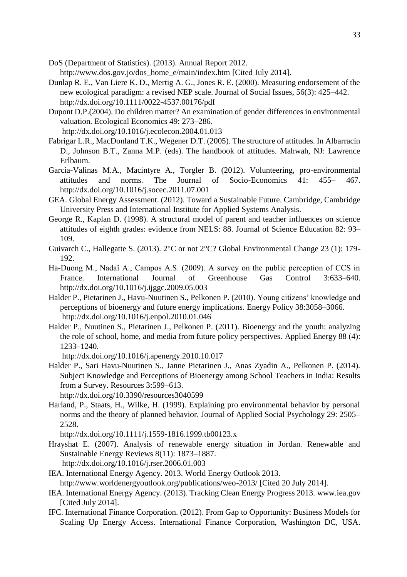DoS (Department of Statistics). (2013). Annual Report 2012. [http://www.dos.gov.jo/dos\\_home\\_e/main/index.htm](http://www.dos.gov.jo/dos_home_e/main/index.htm) [Cited July 2014].

- Dunlap R. E., Van Liere K. D., Mertig A. G., Jones R. E. (2000). Measuring endorsement of the new ecological paradigm: a revised NEP scale. Journal of Social Issues, 56(3): 425–442. http://dx.doi.org/10.1111/0022-4537.00176/pdf
- Dupont D.P.(2004). Do children matter? An examination of gender differences in environmental valuation. Ecological Economics 49: 273–286. <http://dx.doi.org/10.1016/j.ecolecon.2004.01.013>
- Fabrigar L.R., MacDonland T.K., Wegener D.T. (2005). The structure of attitudes. In Albarracín D., Johnson B.T., Zanna M.P. (eds). The handbook of attitudes. Mahwah, NJ: Lawrence Erlbaum.
- García-Valinas M.A., Macintyre A., Torgler B. (2012). Volunteering, pro-environmental attitudes and norms. The Journal of Socio-Economics 41: 455– 467. http://dx.doi.org/10.1016/j.socec.2011.07.001
- GEA. Global Energy Assessment. (2012). Toward a Sustainable Future. Cambridge, Cambridge University Press and International Institute for Applied Systems Analysis.
- George R., Kaplan D. (1998). A structural model of parent and teacher influences on science attitudes of eighth grades: evidence from NELS: 88. Journal of Science Education 82: 93– 109.
- Guivarch C., Hallegatte S. (2013). 2°C or not 2°C? Global Environmental Change 23 (1): 179- 192.
- Ha-Duong M., Nadaȉ A., Campos A.S. (2009). A survey on the public perception of CCS in France. International Journal of Greenhouse Gas Control 3:633–640. http://dx.doi.org/10.1016/j.ijggc.2009.05.003
- Halder P., Pietarinen J., Havu-Nuutinen S., Pelkonen P. (2010). Young citizens' knowledge and perceptions of bioenergy and future energy implications. Energy Policy 38:3058–3066. <http://dx.doi.org/10.1016/j.enpol.2010.01.046>
- Halder P., Nuutinen S., Pietarinen J., Pelkonen P. (2011). Bioenergy and the youth: analyzing the role of school, home, and media from future policy perspectives. Applied Energy 88 (4): 1233–1240.

<http://dx.doi.org/10.1016/j.apenergy.2010.10.017>

Halder P., Sari Havu-Nuutinen S., Janne Pietarinen J., Anas Zyadin A., Pelkonen P. (2014). Subject Knowledge and Perceptions of Bioenergy among School Teachers in India: Results from a Survey. Resources 3:599–613.

http://dx.doi.org/10.3390/resources3040599

Harland, P., Staats, H., Wilke, H. (1999). Explaining pro environmental behavior by personal norms and the theory of planned behavior. Journal of Applied Social Psychology 29: 2505– 2528.

http://dx.doi.org/10.1111/j.1559-1816.1999.tb00123.x

- Hrayshat E. (2007). Analysis of renewable energy situation in Jordan. Renewable and Sustainable Energy Reviews 8(11): 1873–1887. <http://dx.doi.org/10.1016/j.rser.2006.01.003>
- IEA. International Energy Agency. 2013. World Energy Outlook 2013. <http://www.worldenergyoutlook.org/publications/weo-2013/> [Cited 20 July 2014].
- IEA. International Energy Agency. (2013). Tracking Clean Energy Progress 2013. [www.iea.gov](http://www.iea.gov/) [Cited July 2014].
- IFC. International Finance Corporation. (2012). From Gap to Opportunity: Business Models for Scaling Up Energy Access. International Finance Corporation, Washington DC, USA.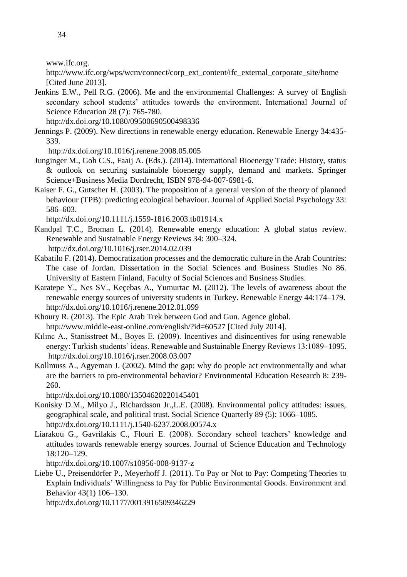[www.ifc.org.](http://www.ifc.org/)

[http://www.ifc.org/wps/wcm/connect/corp\\_ext\\_content/ifc\\_external\\_corporate\\_site/home](http://www.ifc.org/wps/wcm/connect/corp_ext_content/ifc_external_corporate_site/home) [Cited June 2013].

Jenkins E.W., Pell R.G. (2006). Me and the environmental Challenges: A survey of English secondary school students' attitudes towards the environment. International Journal of Science Education 28 (7): 765-780.

http://dx.doi.org/10.1080/09500690500498336

Jennings P. (2009). New directions in renewable energy education. Renewable Energy 34:435- 339.

<http://dx.doi.org/10.1016/j.renene.2008.05.005>

- Junginger M., Goh C.S., Faaij A. (Eds.). (2014). International Bioenergy Trade: History, status & outlook on securing sustainable bioenergy supply, demand and markets. Springer Science+Business Media Dordrecht, ISBN 978-94-007-6981-6.
- Kaiser F. G., Gutscher H. (2003). The proposition of a general version of the theory of planned behaviour (TPB): predicting ecological behaviour. Journal of Applied Social Psychology 33: 586–603.

http://dx.doi.org/10.1111/j.1559-1816.2003.tb01914.x

- Kandpal T.C., Broman L. (2014). Renewable energy education: A global status review. Renewable and Sustainable Energy Reviews 34: 300–324. <http://dx.doi.org/10.1016/j.rser.2014.02.039>
- Kabatilo F. (2014). Democratization processes and the democratic culture in the Arab Countries: The case of Jordan. Dissertation in the Social Sciences and Business Studies No 86. University of Eastern Finland, Faculty of Social Sciences and Business Studies.
- Karatepe Y., Nes SV., Keçebas A., Yumurtac M. (2012). The levels of awareness about the renewable energy sources of university students in Turkey. Renewable Energy 44:174–179. http://dx.doi.org/10.1016/j.renene.2012.01.099
- Khoury R. (2013). The Epic Arab Trek between God and Gun. Agence global. <http://www.middle-east-online.com/english/?id=60527> [Cited July 2014].
- Kılınc A., Stanisstreet M., Boyes E. (2009). Incentives and disincentives for using renewable energy: Turkish students' ideas. Renewable and Sustainable Energy Reviews 13:1089–1095. http://dx.doi.org/10.1016/j.rser.2008.03.007
- Kollmuss A., Agyeman J. (2002). Mind the gap: why do people act environmentally and what are the barriers to pro-environmental behavior? Environmental Education Research 8: 239- 260.

http://dx.doi.org/10.1080/13504620220145401

- Konisky D.M., Milyo J., Richardsson Jr.,L.E. (2008). Environmental policy attitudes: issues, geographical scale, and political trust. Social Science Quarterly 89 (5): 1066–1085. http://dx.doi.org/10.1111/j.1540-6237.2008.00574.x
- Liarakou G., Gavrilakis C., Flouri E. (2008). Secondary school teachers' knowledge and attitudes towards renewable energy sources. Journal of Science Education and Technology 18:120–129.

http://dx.doi.org/10.1007/s10956-008-9137-z

Liebe U., Preisendörfer P., Meyerhoff J. (2011). To Pay or Not to Pay: Competing Theories to Explain Individuals' Willingness to Pay for Public Environmental Goods. Environment and Behavior 43(1) 106–130.

http://dx.doi.org/10.1177/0013916509346229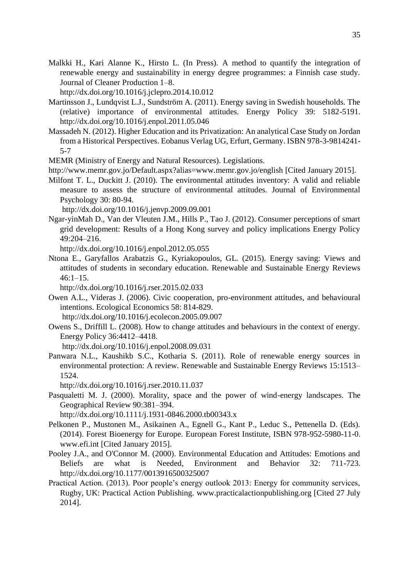Malkki H., Kari Alanne K., Hirsto L. (In Press). A method to quantify the integration of renewable energy and sustainability in energy degree programmes: a Finnish case study. Journal of Cleaner Production 1–8.

<http://dx.doi.org/10.1016/j.jclepro.2014.10.012>

- Martinsson J., Lundqvist L.J., Sundström A. (2011). Energy saving in Swedish households. The (relative) importance of environmental attitudes. Energy Policy 39: 5182-5191. http://dx.doi.org/10.1016/j.enpol.2011.05.046
- Massadeh N. (2012). Higher Education and its Privatization: An analytical Case Study on Jordan from a Historical Perspectives. Eobanus Verlag UG, Erfurt, Germany. ISBN 978-3-9814241- 5-7

MEMR (Ministry of Energy and Natural Resources). Legislations.

- <http://www.memr.gov.jo/Default.aspx?alias=www.memr.gov.jo/english> [Cited January 2015].
- Milfont T. L., Duckitt J. (2010). The environmental attitudes inventory: A valid and reliable measure to assess the structure of environmental attitudes. Journal of Environmental Psychology 30: 80-94.

<http://dx.doi.org/10.1016/j.jenvp.2009.09.001>

Ngar-yinMah D., Van der Vleuten J.M., Hills P., Tao J. (2012). Consumer perceptions of smart grid development: Results of a Hong Kong survey and policy implications Energy Policy 49:204–216.

<http://dx.doi.org/10.1016/j.enpol.2012.05.055>

Ntona E., Garyfallos Arabatzis G., Kyriakopoulos, GL. (2015). Energy saving: Views and attitudes of students in secondary education. Renewable and Sustainable Energy Reviews  $46:1 - 15.$ 

http://dx.doi.org/10.1016/j.rser.2015.02.033

Owen A.L., Videras J. (2006). Civic cooperation, pro-environment attitudes, and behavioural intentions. Ecological Economics 58: 814-829.

<http://dx.doi.org/10.1016/j.ecolecon.2005.09.007>

Owens S., Driffill L. (2008). How to change attitudes and behaviours in the context of energy. Energy Policy 36:4412–4418.

<http://dx.doi.org/10.1016/j.enpol.2008.09.031>

Panwara N.L., Kaushikb S.C., Kotharia S. (2011). Role of renewable energy sources in environmental protection: A review. Renewable and Sustainable Energy Reviews 15:1513– 1524.

http://dx.doi.org/10.1016/j.rser.2010.11.037

Pasqualetti M. J. (2000). Morality, space and the power of wind-energy landscapes. The Geographical Review 90:381–394.

http://dx.doi.org/10.1111/j.1931-0846.2000.tb00343.x

- Pelkonen P., Mustonen M., Asikainen A., Egnell G., Kant P., Leduc S., Pettenella D. (Eds). (2014). Forest Bioenergy for Europe. European Forest Institute, ISBN 978-952-5980-11-0. [www.efi.int](http://www.efi.int/) [Cited January 2015].
- Pooley J.A., and O'Connor M. (2000). Environmental Education and Attitudes: Emotions and Beliefs are what is Needed, Environment and Behavior 32: 711-723. http://dx.doi.org/10.1177/0013916500325007
- Practical Action. (2013). Poor people's energy outlook 2013: Energy for community services, Rugby, UK: Practical Action Publishing. [www.practicalactionpublishing.org](http://www.practicalactionpublishing.org/) [Cited 27 July 2014].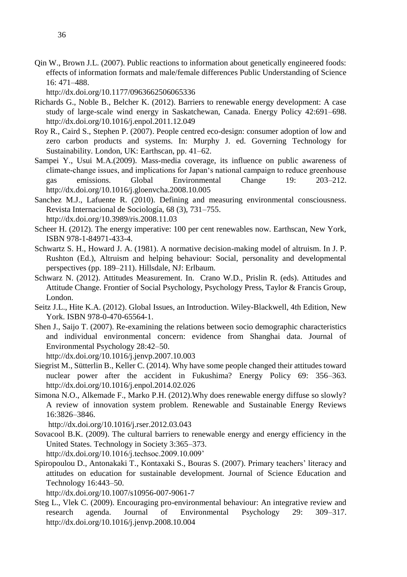Qin W., Brown J.L. (2007). Public reactions to information about genetically engineered foods: effects of information formats and male/female differences Public Understanding of Science 16: 471–488.

http://dx.doi.org/10.1177/0963662506065336

- Richards G., Noble B., Belcher K. (2012). Barriers to renewable energy development: A case study of large-scale wind energy in Saskatchewan, Canada. Energy Policy 42:691–698. http://dx.doi.org/10.1016/j.enpol.2011.12.049
- Roy R., Caird S., Stephen P. (2007). People centred eco-design: consumer adoption of low and zero carbon products and systems. In: Murphy J. ed. Governing Technology for Sustainability. London, UK: Earthscan, pp. 41–62.
- Sampei Y., Usui M.A.(2009). Mass-media coverage, its influence on public awareness of climate-change issues, and implications for Japan's national campaign to reduce greenhouse gas emissions. Global Environmental Change 19: 203–212. http://dx.doi.org/10.1016/j.gloenvcha.2008.10.005
- Sanchez M.J., Lafuente R. (2010). Defining and measuring environmental consciousness. Revista Internacional de Sociología, 68 (3), 731–755. http://dx.doi.org/10.3989/ris.2008.11.03
- Scheer H. (2012). The energy imperative: 100 per cent renewables now. Earthscan, New York, ISBN 978-1-84971-433-4.
- Schwartz S. H., Howard J. A. (1981). A normative decision-making model of altruism. In J. P. Rushton (Ed.), Altruism and helping behaviour: Social, personality and developmental perspectives (pp. 189–211). Hillsdale, NJ: Erlbaum.
- Schwarz N. (2012). Attitudes Measurement. In. Crano W.D., Prislin R. (eds). Attitudes and Attitude Change. Frontier of Social Psychology, Psychology Press, Taylor & Francis Group, London.
- Seitz J.L., Hite K.A. (2012). Global Issues, an Introduction. Wiley-Blackwell, 4th Edition, New York. ISBN 978-0-470-65564-1.
- Shen J., Saijo T. (2007). Re-examining the relations between socio demographic characteristics and individual environmental concern: evidence from Shanghai data. Journal of Environmental Psychology 28:42–50.

http://dx.doi.org/10.1016/j.jenvp.2007.10.003

- Siegrist M., Sütterlin B., Keller C. (2014). Why have some people changed their attitudes toward nuclear power after the accident in Fukushima? Energy Policy 69: 356–363. http://dx.doi.org/10.1016/j.enpol.2014.02.026
- Simona N.O., Alkemade F., Marko P.H. (2012).Why does renewable energy diffuse so slowly? A review of innovation system problem. Renewable and Sustainable Energy Reviews 16:3826–3846.

<http://dx.doi.org/10.1016/j.rser.2012.03.043>

Sovacool B.K. (2009). The cultural barriers to renewable energy and energy efficiency in the United States. Technology in Society 3:365–373.

http://dx.doi.org/10.1016/j.techsoc.2009.10.009'

Spiropoulou D., Antonakaki T., Kontaxaki S., Bouras S. (2007). Primary teachers' literacy and attitudes on education for sustainable development. Journal of Science Education and Technology 16:443–50.

http://dx.doi.org/10.1007/s10956-007-9061-7

Steg L., Vlek C. (2009). Encouraging pro-environmental behaviour: An integrative review and research agenda. Journal of Environmental Psychology 29: 309–317. http://dx.doi.org/10.1016/j.jenvp.2008.10.004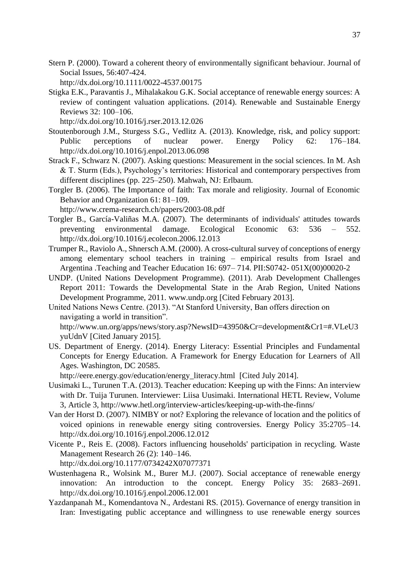Stern P. (2000). Toward a coherent theory of environmentally significant behaviour. Journal of Social Issues, 56:407-424.

http://dx.doi.org/10.1111/0022-4537.00175

Stigka E.K., Paravantis J., Mihalakakou G.K. Social acceptance of renewable energy sources: A review of contingent valuation applications. (2014). Renewable and Sustainable Energy Reviews 32: 100–106.

http://dx.doi.org/10.1016/j.rser.2013.12.026

- Stoutenborough J.M., Sturgess S.G., Vedlitz A. (2013). Knowledge, risk, and policy support: Public perceptions of nuclear power. Energy Policy 62: 176–184. <http://dx.doi.org/10.1016/j.enpol.2013.06.098>
- Strack F., Schwarz N. (2007). Asking questions: Measurement in the social sciences. In M. Ash & T. Sturm (Eds.), Psychology's territories: Historical and contemporary perspectives from different disciplines (pp. 225–250). Mahwah, NJ: Erlbaum.
- Torgler B. (2006). The Importance of faith: Tax morale and religiosity. Journal of Economic Behavior and Organization 61: 81–109. <http://www.crema-research.ch/papers/2003-08.pdf>
- Torgler B., García-Valiñas M.A. (2007). The determinants of individuals' attitudes towards preventing environmental damage. Ecological Economic 63: 536 – 552. http://dx.doi.org/10.1016/j.ecolecon.2006.12.013
- Trumper R., Raviolo A., Shnersch A.M. (2000). A cross-cultural survey of conceptions of energy among elementary school teachers in training – empirical results from Israel and Argentina .Teaching and Teacher Education 16: 697– 714. PII:S0742- 051X(00)00020-2
- UNDP. (United Nations Development Programme). (2011). Arab Development Challenges Report 2011: Towards the Developmental State in the Arab Region, United Nations Development Programme, 2011[. www.undp.org](http://www.undp.org/) [Cited February 2013].
- United Nations News Centre. (2013). "At Stanford University, Ban offers direction on navigating a world in transition". [http://www.un.org/apps/news/story.asp?NewsID=43950&Cr=development&Cr1=#.VLeU3](http://www.un.org/apps/news/story.asp?NewsID=43950&Cr=development&Cr1=#.VLeU3yuUdnV) [yuUdnV](http://www.un.org/apps/news/story.asp?NewsID=43950&Cr=development&Cr1=#.VLeU3yuUdnV) [Cited January 2015].
- US. Department of Energy. (2014). Energy Literacy: Essential Principles and Fundamental Concepts for Energy Education. A Framework for Energy Education for Learners of All Ages. Washington, DC 20585.

[http://eere.energy.gov/education/energy\\_literacy.html](http://eere.energy.gov/education/energy_literacy.html) [Cited July 2014].

- Uusimaki L., Turunen T.A. (2013). Teacher education: Keeping up with the Finns: An interview with Dr. Tuija Turunen. Interviewer: Liisa Uusimaki. International HETL Review, Volume 3, Article 3, http://www.hetl.org/interview-articles/keeping-up-with-the-finns/
- Van der Horst D. (2007). NIMBY or not? Exploring the relevance of location and the politics of voiced opinions in renewable energy siting controversies. Energy Policy 35:2705–14. http://dx.doi.org/10.1016/j.enpol.2006.12.012
- Vicente P., Reis E. (2008). Factors influencing households' participation in recycling. Waste Management Research 26 (2): 140–146. http://dx.doi.org/10.1177/0734242X07077371
- Wustenhagena R., Wolsink M., Burer M.J. (2007). Social acceptance of renewable energy innovation: An introduction to the concept. Energy Policy 35: 2683–2691. <http://dx.doi.org/10.1016/j.enpol.2006.12.001>
- Yazdanpanah M., Komendantova N., Ardestani RS. (2015). Governance of energy transition in Iran: Investigating public acceptance and willingness to use renewable energy sources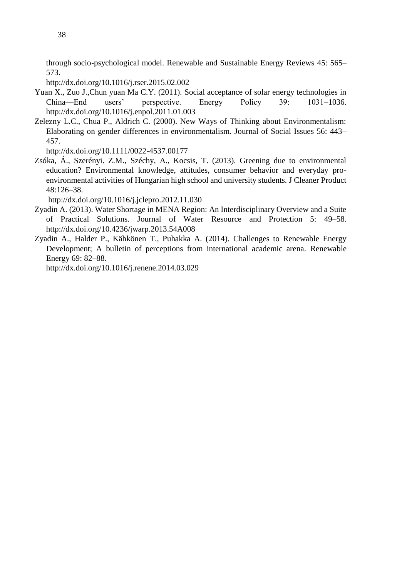through socio-psychological model. Renewable and Sustainable Energy Reviews 45: 565– 573.

<http://dx.doi.org/10.1016/j.rser.2015.02.002>

- Yuan X., Zuo J.,Chun yuan Ma C.Y. (2011). Social acceptance of solar energy technologies in China—End users' perspective. Energy Policy 39: 1031–1036. http://dx.doi.org/10.1016/j.enpol.2011.01.003
- Zelezny L.C., Chua P., Aldrich C. (2000). New Ways of Thinking about Environmentalism: Elaborating on gender differences in environmentalism. Journal of Social Issues 56: 443– 457.

http://dx.doi.org/10.1111/0022-4537.00177

Zsóka, Á., Szerényi. Z.M., Széchy, A., Kocsis, T. (2013). Greening due to environmental education? Environmental knowledge, attitudes, consumer behavior and everyday proenvironmental activities of Hungarian high school and university students. J Cleaner Product 48:126–38.

<http://dx.doi.org/10.1016/j.jclepro.2012.11.030>

- Zyadin A. (2013). Water Shortage in MENA Region: An Interdisciplinary Overview and a Suite of Practical Solutions. Journal of Water Resource and Protection 5: 49–58. http://dx.doi.org/10.4236/jwarp.2013.54A008
- Zyadin A., Halder P., Kähkönen T., Puhakka A. (2014). Challenges to Renewable Energy Development; A bulletin of perceptions from international academic arena. Renewable Energy 69: 82–88.

<http://dx.doi.org/10.1016/j.renene.2014.03.029>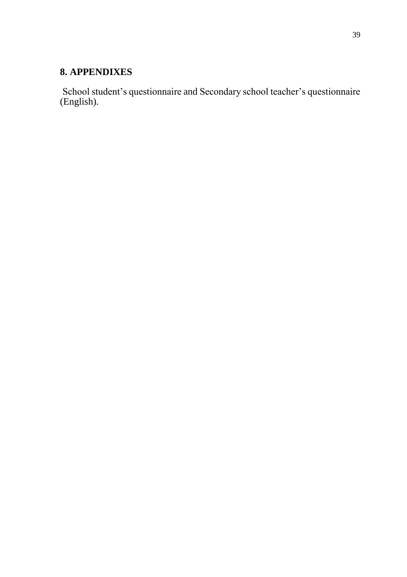## <span id="page-38-0"></span>**8. APPENDIXES**

<span id="page-38-1"></span>School student's questionnaire and Secondary school teacher's questionnaire (English).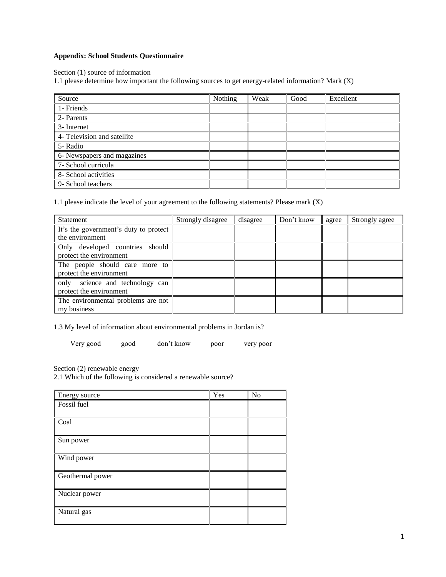## **Appendix: School Students Questionnaire**

Section (1) source of information

1.1 please determine how important the following sources to get energy-related information? Mark (X)

| Source                      | Nothing | Weak | Good | Excellent |
|-----------------------------|---------|------|------|-----------|
| 1- Friends                  |         |      |      |           |
| 2- Parents                  |         |      |      |           |
| 3- Internet                 |         |      |      |           |
| 4- Television and satellite |         |      |      |           |
| 5- Radio                    |         |      |      |           |
| 6- Newspapers and magazines |         |      |      |           |
| 7- School curricula         |         |      |      |           |
| 8- School activities        |         |      |      |           |
| 9- School teachers          |         |      |      |           |

1.1 please indicate the level of your agreement to the following statements? Please mark (X)

| Statement                                                  | Strongly disagree | disagree | Don't know | agree | Strongly agree |
|------------------------------------------------------------|-------------------|----------|------------|-------|----------------|
| It's the government's duty to protect<br>the environment   |                   |          |            |       |                |
| Only developed countries should<br>protect the environment |                   |          |            |       |                |
| The people should care more to<br>protect the environment  |                   |          |            |       |                |
| only science and technology can<br>protect the environment |                   |          |            |       |                |
| The environmental problems are not<br>my business          |                   |          |            |       |                |

1.3 My level of information about environmental problems in Jordan is?

Very good good don't know poor very poor

Section (2) renewable energy

2.1 Which of the following is considered a renewable source?

| Energy source    | Yes | N <sub>o</sub> |
|------------------|-----|----------------|
| Fossil fuel      |     |                |
|                  |     |                |
| Coal             |     |                |
| Sun power        |     |                |
| Wind power       |     |                |
| Geothermal power |     |                |
| Nuclear power    |     |                |
| Natural gas      |     |                |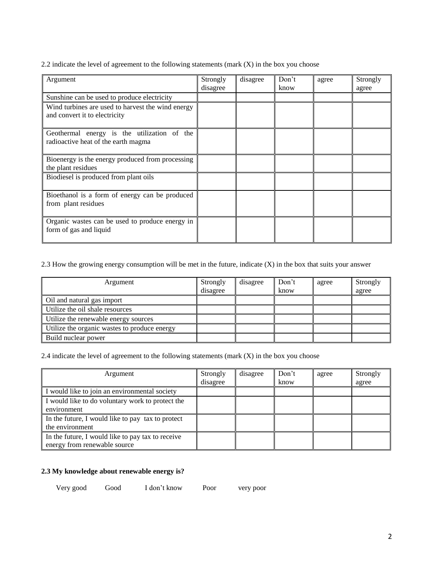2.2 indicate the level of agreement to the following statements (mark  $(X)$ ) in the box you choose

| Argument                                                                           | Strongly<br>disagree | disagree | Don't<br>know | agree | Strongly<br>agree |
|------------------------------------------------------------------------------------|----------------------|----------|---------------|-------|-------------------|
| Sunshine can be used to produce electricity                                        |                      |          |               |       |                   |
| Wind turbines are used to harvest the wind energy<br>and convert it to electricity |                      |          |               |       |                   |
| Geothermal energy is the utilization of the<br>radioactive heat of the earth magma |                      |          |               |       |                   |
| Bioenergy is the energy produced from processing<br>the plant residues             |                      |          |               |       |                   |
| Biodiesel is produced from plant oils                                              |                      |          |               |       |                   |
| Bioethanol is a form of energy can be produced<br>from plant residues              |                      |          |               |       |                   |
| Organic wastes can be used to produce energy in<br>form of gas and liquid          |                      |          |               |       |                   |

2.3 How the growing energy consumption will be met in the future, indicate (X) in the box that suits your answer

| Argument                                     | Strongly<br>disagree | disagree | Don't<br>know | agree | Strongly<br>agree |
|----------------------------------------------|----------------------|----------|---------------|-------|-------------------|
| Oil and natural gas import                   |                      |          |               |       |                   |
| Utilize the oil shale resources              |                      |          |               |       |                   |
| Utilize the renewable energy sources         |                      |          |               |       |                   |
| Utilize the organic wastes to produce energy |                      |          |               |       |                   |
| Build nuclear power                          |                      |          |               |       |                   |

2.4 indicate the level of agreement to the following statements (mark (X) in the box you choose

| Argument                                                                          | Strongly<br>disagree | disagree | Don't<br>know | agree | Strongly<br>agree |
|-----------------------------------------------------------------------------------|----------------------|----------|---------------|-------|-------------------|
| I would like to join an environmental society                                     |                      |          |               |       |                   |
| I would like to do voluntary work to protect the<br>environment                   |                      |          |               |       |                   |
| In the future, I would like to pay tax to protect<br>the environment              |                      |          |               |       |                   |
| In the future, I would like to pay tax to receive<br>energy from renewable source |                      |          |               |       |                   |

## **2.3 My knowledge about renewable energy is?**

Very good Good I don't know Poor very poor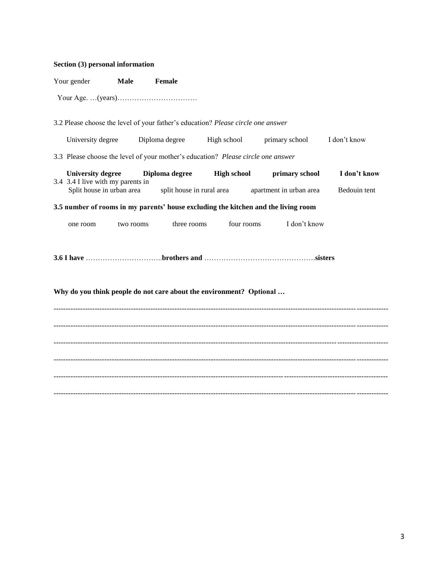| Section (3) personal information                                    |             |                                                                                  |                           |                                                                                    |              |  |  |
|---------------------------------------------------------------------|-------------|----------------------------------------------------------------------------------|---------------------------|------------------------------------------------------------------------------------|--------------|--|--|
| Your gender                                                         | <b>Male</b> | Female                                                                           |                           |                                                                                    |              |  |  |
|                                                                     |             |                                                                                  |                           |                                                                                    |              |  |  |
|                                                                     |             | 3.2 Please choose the level of your father's education? Please circle one answer |                           |                                                                                    |              |  |  |
| University degree                                                   |             | Diploma degree High school                                                       |                           | primary school                                                                     | I don't know |  |  |
|                                                                     |             | 3.3 Please choose the level of your mother's education? Please circle one answer |                           |                                                                                    |              |  |  |
| <b>University degree</b><br>3.4 3.4 I live with my parents in       |             | Diploma degree                                                                   | <b>High school</b>        | primary school                                                                     | I don't know |  |  |
| Split house in urban area                                           |             |                                                                                  | split house in rural area | apartment in urban area                                                            | Bedouin tent |  |  |
|                                                                     |             |                                                                                  |                           | 3.5 number of rooms in my parents' house excluding the kitchen and the living room |              |  |  |
| one room                                                            | two rooms   | three rooms                                                                      | four rooms                | I don't know                                                                       |              |  |  |
| Why do you think people do not care about the environment? Optional |             |                                                                                  |                           |                                                                                    |              |  |  |
|                                                                     |             |                                                                                  |                           |                                                                                    |              |  |  |
|                                                                     |             |                                                                                  |                           |                                                                                    |              |  |  |
|                                                                     |             |                                                                                  |                           |                                                                                    |              |  |  |
|                                                                     |             |                                                                                  |                           |                                                                                    |              |  |  |
|                                                                     |             |                                                                                  |                           |                                                                                    |              |  |  |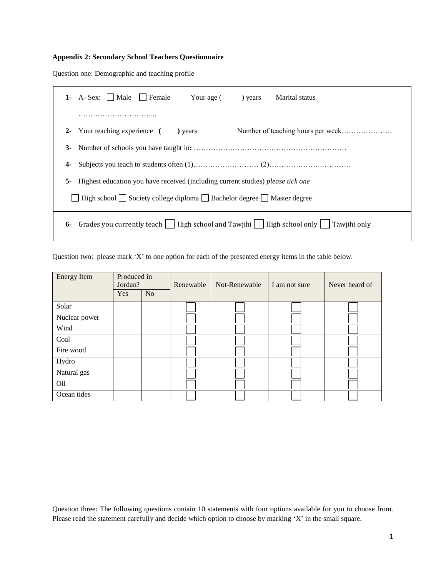## **Appendix 2: Secondary School Teachers Questionnaire**

Question one: Demographic and teaching profile

| $1-$  | A-Sex:     Male     Female<br>Your age (<br>Marital status<br>) years                        |
|-------|----------------------------------------------------------------------------------------------|
|       | .                                                                                            |
| $2 -$ | Your teaching experience (<br>) years                                                        |
| $3-$  |                                                                                              |
| 4-    |                                                                                              |
| 5-    | Highest education you have received (including current studies) please tick one              |
|       | High school $\Box$ Society college diploma $\Box$ Bachelor degree $\Box$ Master degree       |
| 6-    | Grades you currently teach     High school and Tawjihi     High school only     Tawjihi only |

Question two: please mark 'X' to one option for each of the presented energy items in the table below.

| <b>Energy Item</b> | Produced in<br>Jordan? |                | Renewable | Not-Renewable | I am not sure | Never heard of |  |
|--------------------|------------------------|----------------|-----------|---------------|---------------|----------------|--|
|                    | Yes                    | N <sub>o</sub> |           |               |               |                |  |
| Solar              |                        |                |           |               |               |                |  |
| Nuclear power      |                        |                |           |               |               |                |  |
| Wind               |                        |                |           |               |               |                |  |
| Coal               |                        |                |           |               |               |                |  |
| Fire wood          |                        |                |           |               |               |                |  |
| Hydro              |                        |                |           |               |               |                |  |
| Natural gas        |                        |                |           |               |               |                |  |
| Oil                |                        |                |           |               |               |                |  |
| Ocean tides        |                        |                |           |               |               |                |  |

Question three: The following questions contain 10 statements with four options available for you to choose from. Please read the statement carefully and decide which option to choose by marking 'X' in the small square.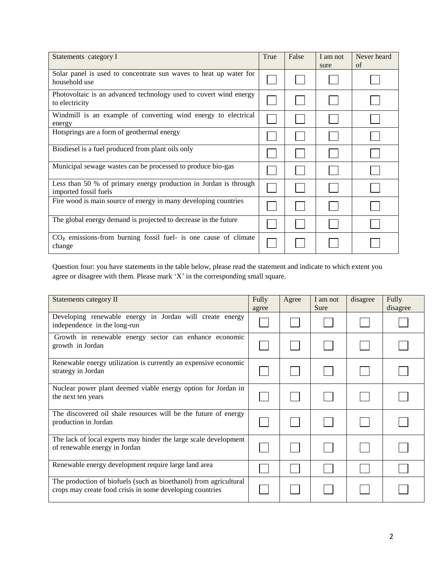| Statements category I                                                                     | True | False | I am not<br>sure | Never heard<br>of |
|-------------------------------------------------------------------------------------------|------|-------|------------------|-------------------|
| Solar panel is used to concentrate sun waves to heat up water for<br>household use        |      |       |                  |                   |
| Photovoltaic is an advanced technology used to covert wind energy<br>to electricity       |      |       |                  |                   |
| Windmill is an example of converting wind energy to electrical<br>energy                  |      |       |                  |                   |
| Hotsprings are a form of geothermal energy                                                |      |       |                  |                   |
| Biodiesel is a fuel produced from plant oils only                                         |      |       |                  |                   |
| Municipal sewage wastes can be processed to produce bio-gas                               |      |       |                  |                   |
| Less than 50 % of primary energy production in Jordan is through<br>imported fossil fuels |      |       |                  |                   |
| Fire wood is main source of energy in many developing countries                           |      |       |                  |                   |
| The global energy demand is projected to decrease in the future                           |      |       |                  |                   |
| $CO2$ emissions-from burning fossil fuel- is one cause of climate<br>change               |      |       |                  |                   |

Question four: you have statements in the table below, please read the statement and indicate to which extent you agree or disagree with them. Please mark 'X' in the corresponding small square.

| Statements category II                                                                                                         | Fully<br>agree | Agree | I am not<br>Sure | disagree | Fully<br>disagree |
|--------------------------------------------------------------------------------------------------------------------------------|----------------|-------|------------------|----------|-------------------|
| Developing renewable energy in Jordan will create energy<br>independence in the long-run                                       |                |       |                  |          |                   |
| Growth in renewable energy sector can enhance economic<br>growth in Jordan                                                     |                |       |                  |          |                   |
| Renewable energy utilization is currently an expensive economic<br>strategy in Jordan                                          |                |       |                  |          |                   |
| Nuclear power plant deemed viable energy option for Jordan in<br>the next ten years                                            |                |       |                  |          |                   |
| The discovered oil shale resources will be the future of energy<br>production in Jordan                                        |                |       |                  |          |                   |
| The lack of local experts may hinder the large scale development<br>of renewable energy in Jordan                              |                |       |                  |          |                   |
| Renewable energy development require large land area                                                                           |                |       |                  |          |                   |
| The production of biofuels (such as bioethanol) from agricultural<br>crops may create food crisis in some developing countries |                |       |                  |          |                   |